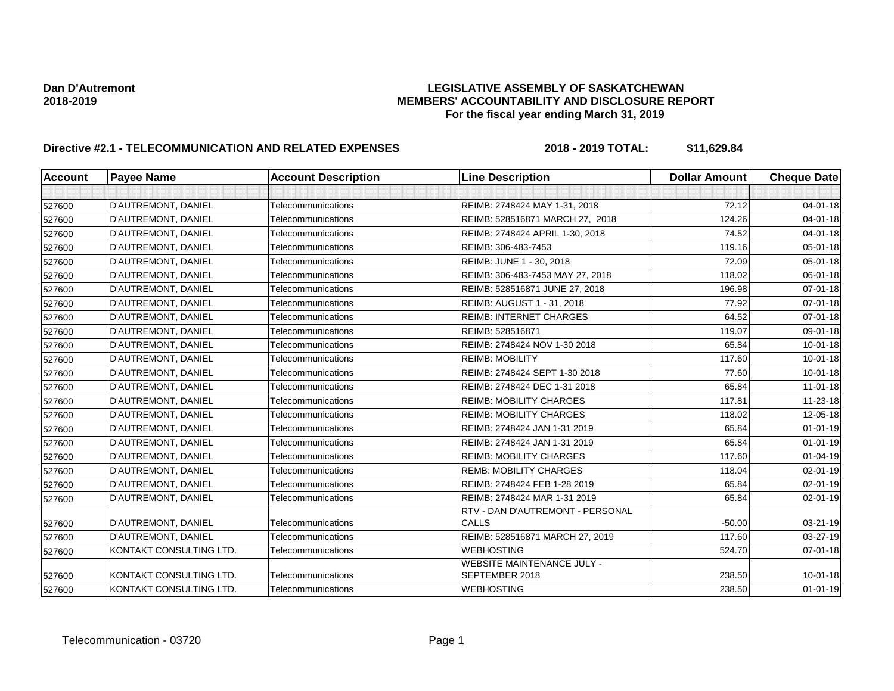| <b>Account</b> | <b>Payee Name</b>       | <b>Account Description</b> | <b>Line Description</b>                          | <b>Dollar Amount</b> | <b>Cheque Date</b> |
|----------------|-------------------------|----------------------------|--------------------------------------------------|----------------------|--------------------|
|                |                         |                            |                                                  |                      |                    |
| 527600         | D'AUTREMONT, DANIEL     | Telecommunications         | REIMB: 2748424 MAY 1-31, 2018                    | 72.12                | $04 - 01 - 18$     |
| 527600         | D'AUTREMONT, DANIEL     | Telecommunications         | REIMB: 528516871 MARCH 27, 2018                  | 124.26               | $04 - 01 - 18$     |
| 527600         | D'AUTREMONT, DANIEL     | Telecommunications         | REIMB: 2748424 APRIL 1-30, 2018                  | 74.52                | $04 - 01 - 18$     |
| 527600         | D'AUTREMONT, DANIEL     | Telecommunications         | REIMB: 306-483-7453                              | 119.16               | 05-01-18           |
| 527600         | D'AUTREMONT, DANIEL     | Telecommunications         | REIMB: JUNE 1 - 30, 2018                         | 72.09                | $05 - 01 - 18$     |
| 527600         | D'AUTREMONT, DANIEL     | Telecommunications         | REIMB: 306-483-7453 MAY 27, 2018                 | 118.02               | $06 - 01 - 18$     |
| 527600         | D'AUTREMONT, DANIEL     | Telecommunications         | REIMB: 528516871 JUNE 27, 2018                   | 196.98               | $07 - 01 - 18$     |
| 527600         | D'AUTREMONT, DANIEL     | Telecommunications         | REIMB: AUGUST 1 - 31, 2018                       | 77.92                | $07 - 01 - 18$     |
| 527600         | D'AUTREMONT, DANIEL     | Telecommunications         | <b>REIMB: INTERNET CHARGES</b>                   | 64.52                | $07 - 01 - 18$     |
| 527600         | D'AUTREMONT, DANIEL     | Telecommunications         | REIMB: 528516871                                 | 119.07               | 09-01-18           |
| 527600         | D'AUTREMONT, DANIEL     | Telecommunications         | REIMB: 2748424 NOV 1-30 2018                     | 65.84                | $10 - 01 - 18$     |
| 527600         | D'AUTREMONT, DANIEL     | Telecommunications         | <b>REIMB: MOBILITY</b>                           | 117.60               | $10 - 01 - 18$     |
| 527600         | D'AUTREMONT, DANIEL     | Telecommunications         | REIMB: 2748424 SEPT 1-30 2018                    | 77.60                | $10 - 01 - 18$     |
| 527600         | D'AUTREMONT, DANIEL     | Telecommunications         | REIMB: 2748424 DEC 1-31 2018                     | 65.84                | $11 - 01 - 18$     |
| 527600         | D'AUTREMONT, DANIEL     | Telecommunications         | <b>REIMB: MOBILITY CHARGES</b>                   | 117.81               | 11-23-18           |
| 527600         | D'AUTREMONT, DANIEL     | Telecommunications         | <b>REIMB: MOBILITY CHARGES</b>                   | 118.02               | 12-05-18           |
| 527600         | D'AUTREMONT, DANIEL     | Telecommunications         | REIMB: 2748424 JAN 1-31 2019                     | 65.84                | $01 - 01 - 19$     |
| 527600         | D'AUTREMONT, DANIEL     | Telecommunications         | REIMB: 2748424 JAN 1-31 2019                     | 65.84                | $01 - 01 - 19$     |
| 527600         | D'AUTREMONT, DANIEL     | Telecommunications         | <b>REIMB: MOBILITY CHARGES</b>                   | 117.60               | $01 - 04 - 19$     |
| 527600         | D'AUTREMONT, DANIEL     | Telecommunications         | <b>REMB: MOBILITY CHARGES</b>                    | 118.04               | $02 - 01 - 19$     |
| 527600         | D'AUTREMONT, DANIEL     | Telecommunications         | REIMB: 2748424 FEB 1-28 2019                     | 65.84                | $02 - 01 - 19$     |
| 527600         | D'AUTREMONT, DANIEL     | Telecommunications         | REIMB: 2748424 MAR 1-31 2019                     | 65.84                | 02-01-19           |
| 527600         | D'AUTREMONT, DANIEL     | Telecommunications         | RTV - DAN D'AUTREMONT - PERSONAL<br><b>CALLS</b> | $-50.00$             | 03-21-19           |
| 527600         | D'AUTREMONT, DANIEL     | Telecommunications         | REIMB: 528516871 MARCH 27, 2019                  | 117.60               | 03-27-19           |
| 527600         | KONTAKT CONSULTING LTD. | Telecommunications         | <b>WEBHOSTING</b>                                | 524.70               | $07 - 01 - 18$     |
| 527600         | KONTAKT CONSULTING LTD. | Telecommunications         | WEBSITE MAINTENANCE JULY -<br>SEPTEMBER 2018     | 238.50               | $10 - 01 - 18$     |
| 527600         | KONTAKT CONSULTING LTD. | Telecommunications         | <b>WEBHOSTING</b>                                | 238.50               | $01 - 01 - 19$     |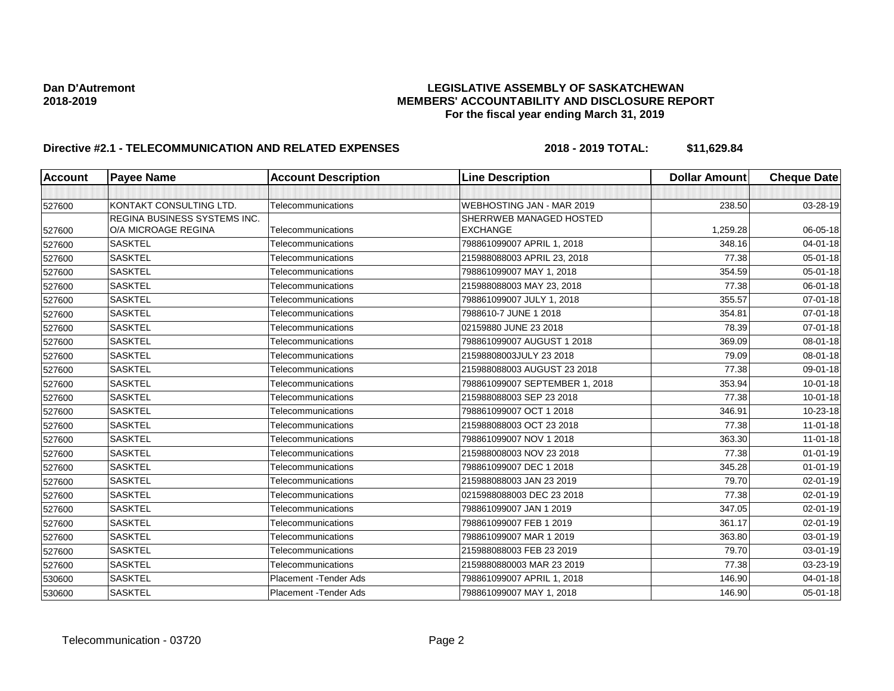| Account | <b>Payee Name</b>            | <b>Account Description</b> | <b>Line Description</b>        | <b>Dollar Amount</b> | <b>Cheque Date</b> |
|---------|------------------------------|----------------------------|--------------------------------|----------------------|--------------------|
|         |                              |                            |                                |                      |                    |
| 527600  | KONTAKT CONSULTING LTD.      | Telecommunications         | WEBHOSTING JAN - MAR 2019      | 238.50               | 03-28-19           |
|         | REGINA BUSINESS SYSTEMS INC. |                            | SHERRWEB MANAGED HOSTED        |                      |                    |
| 527600  | O/A MICROAGE REGINA          | Telecommunications         | <b>EXCHANGE</b>                | 1,259.28             | 06-05-18           |
| 527600  | <b>SASKTEL</b>               | Telecommunications         | 798861099007 APRIL 1, 2018     | 348.16               | 04-01-18           |
| 527600  | <b>SASKTEL</b>               | Telecommunications         | 215988088003 APRIL 23, 2018    | 77.38                | 05-01-18           |
| 527600  | <b>SASKTEL</b>               | Telecommunications         | 798861099007 MAY 1, 2018       | 354.59               | 05-01-18           |
| 527600  | <b>SASKTEL</b>               | Telecommunications         | 215988088003 MAY 23, 2018      | 77.38                | 06-01-18           |
| 527600  | <b>SASKTEL</b>               | Telecommunications         | 798861099007 JULY 1, 2018      | 355.57               | 07-01-18           |
| 527600  | <b>SASKTEL</b>               | Telecommunications         | 7988610-7 JUNE 1 2018          | 354.81               | $07 - 01 - 18$     |
| 527600  | <b>SASKTEL</b>               | Telecommunications         | 02159880 JUNE 23 2018          | 78.39                | 07-01-18           |
| 527600  | <b>SASKTEL</b>               | Telecommunications         | 798861099007 AUGUST 1 2018     | 369.09               | 08-01-18           |
| 527600  | <b>SASKTEL</b>               | Telecommunications         | 21598808003JULY 23 2018        | 79.09                | 08-01-18           |
| 527600  | <b>SASKTEL</b>               | Telecommunications         | 215988088003 AUGUST 23 2018    | 77.38                | 09-01-18           |
| 527600  | <b>SASKTEL</b>               | Telecommunications         | 798861099007 SEPTEMBER 1, 2018 | 353.94               | $10 - 01 - 18$     |
| 527600  | <b>SASKTEL</b>               | Telecommunications         | 215988088003 SEP 23 2018       | 77.38                | 10-01-18           |
| 527600  | <b>SASKTEL</b>               | Telecommunications         | 798861099007 OCT 1 2018        | 346.91               | 10-23-18           |
| 527600  | <b>SASKTEL</b>               | Telecommunications         | 215988088003 OCT 23 2018       | 77.38                | $11 - 01 - 18$     |
| 527600  | <b>SASKTEL</b>               | Telecommunications         | 798861099007 NOV 1 2018        | 363.30               | $11 - 01 - 18$     |
| 527600  | <b>SASKTEL</b>               | Telecommunications         | 215988008003 NOV 23 2018       | 77.38                | $01 - 01 - 19$     |
| 527600  | <b>SASKTEL</b>               | Telecommunications         | 798861099007 DEC 1 2018        | 345.28               | $01 - 01 - 19$     |
| 527600  | <b>SASKTEL</b>               | Telecommunications         | 215988088003 JAN 23 2019       | 79.70                | 02-01-19           |
| 527600  | <b>SASKTEL</b>               | Telecommunications         | 0215988088003 DEC 23 2018      | 77.38                | 02-01-19           |
| 527600  | <b>SASKTEL</b>               | Telecommunications         | 798861099007 JAN 1 2019        | 347.05               | 02-01-19           |
| 527600  | <b>SASKTEL</b>               | Telecommunications         | 798861099007 FEB 1 2019        | 361.17               | 02-01-19           |
| 527600  | <b>SASKTEL</b>               | Telecommunications         | 798861099007 MAR 1 2019        | 363.80               | 03-01-19           |
| 527600  | <b>SASKTEL</b>               | Telecommunications         | 215988088003 FEB 23 2019       | 79.70                | 03-01-19           |
| 527600  | <b>SASKTEL</b>               | Telecommunications         | 2159880880003 MAR 23 2019      | 77.38                | 03-23-19           |
| 530600  | <b>SASKTEL</b>               | Placement - Tender Ads     | 798861099007 APRIL 1, 2018     | 146.90               | 04-01-18           |
| 530600  | <b>SASKTEL</b>               | Placement - Tender Ads     | 798861099007 MAY 1, 2018       | 146.90               | 05-01-18           |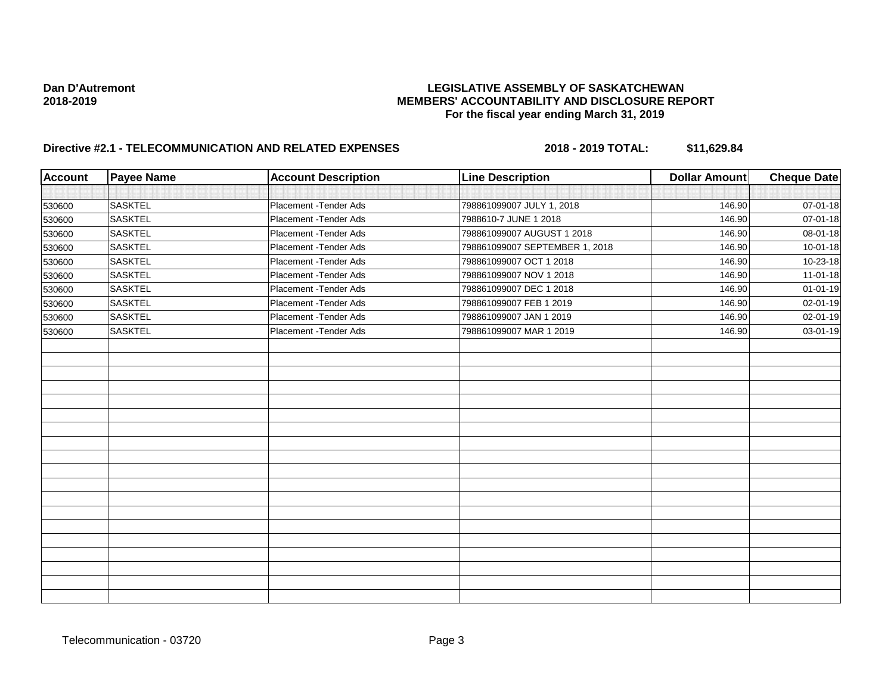| <b>Account</b> | <b>Payee Name</b> | <b>Account Description</b> | <b>Line Description</b>        | <b>Dollar Amount</b> | <b>Cheque Date</b> |
|----------------|-------------------|----------------------------|--------------------------------|----------------------|--------------------|
|                |                   |                            |                                |                      |                    |
| 530600         | <b>SASKTEL</b>    | Placement - Tender Ads     | 798861099007 JULY 1, 2018      | 146.90               | 07-01-18           |
| 530600         | <b>SASKTEL</b>    | Placement - Tender Ads     | 7988610-7 JUNE 1 2018          | 146.90               | 07-01-18           |
| 530600         | <b>SASKTEL</b>    | Placement - Tender Ads     | 798861099007 AUGUST 1 2018     | 146.90               | 08-01-18           |
| 530600         | <b>SASKTEL</b>    | Placement - Tender Ads     | 798861099007 SEPTEMBER 1, 2018 | 146.90               | $10 - 01 - 18$     |
| 530600         | <b>SASKTEL</b>    | Placement - Tender Ads     | 798861099007 OCT 1 2018        | 146.90               | 10-23-18           |
| 530600         | <b>SASKTEL</b>    | Placement - Tender Ads     | 798861099007 NOV 1 2018        | 146.90               | $11-01-18$         |
| 530600         | <b>SASKTEL</b>    | Placement - Tender Ads     | 798861099007 DEC 1 2018        | 146.90               | $01 - 01 - 19$     |
| 530600         | <b>SASKTEL</b>    | Placement - Tender Ads     | 798861099007 FEB 1 2019        | 146.90               | 02-01-19           |
| 530600         | <b>SASKTEL</b>    | Placement - Tender Ads     | 798861099007 JAN 1 2019        | 146.90               | 02-01-19           |
| 530600         | SASKTEL           | Placement - Tender Ads     | 798861099007 MAR 1 2019        | 146.90               | 03-01-19           |
|                |                   |                            |                                |                      |                    |
|                |                   |                            |                                |                      |                    |
|                |                   |                            |                                |                      |                    |
|                |                   |                            |                                |                      |                    |
|                |                   |                            |                                |                      |                    |
|                |                   |                            |                                |                      |                    |
|                |                   |                            |                                |                      |                    |
|                |                   |                            |                                |                      |                    |
|                |                   |                            |                                |                      |                    |
|                |                   |                            |                                |                      |                    |
|                |                   |                            |                                |                      |                    |
|                |                   |                            |                                |                      |                    |
|                |                   |                            |                                |                      |                    |
|                |                   |                            |                                |                      |                    |
|                |                   |                            |                                |                      |                    |
|                |                   |                            |                                |                      |                    |
|                |                   |                            |                                |                      |                    |
|                |                   |                            |                                |                      |                    |
|                |                   |                            |                                |                      |                    |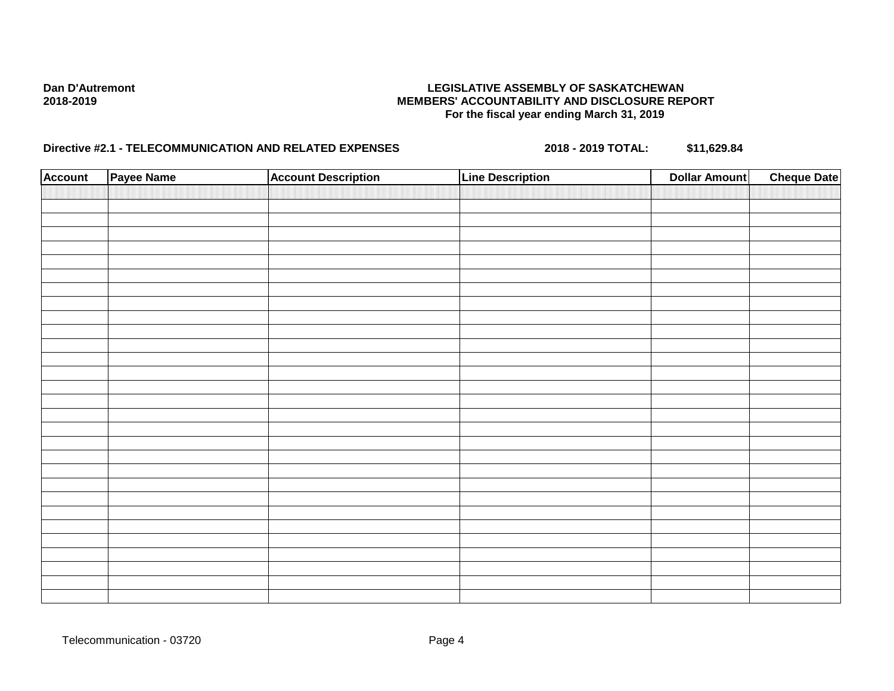| <b>Account</b> | Payee Name | <b>Account Description</b> | <b>Line Description</b> | <b>Dollar Amount</b> | <b>Cheque Date</b> |
|----------------|------------|----------------------------|-------------------------|----------------------|--------------------|
|                |            |                            |                         |                      |                    |
|                |            |                            |                         |                      |                    |
|                |            |                            |                         |                      |                    |
|                |            |                            |                         |                      |                    |
|                |            |                            |                         |                      |                    |
|                |            |                            |                         |                      |                    |
|                |            |                            |                         |                      |                    |
|                |            |                            |                         |                      |                    |
|                |            |                            |                         |                      |                    |
|                |            |                            |                         |                      |                    |
|                |            |                            |                         |                      |                    |
|                |            |                            |                         |                      |                    |
|                |            |                            |                         |                      |                    |
|                |            |                            |                         |                      |                    |
|                |            |                            |                         |                      |                    |
|                |            |                            |                         |                      |                    |
|                |            |                            |                         |                      |                    |
|                |            |                            |                         |                      |                    |
|                |            |                            |                         |                      |                    |
|                |            |                            |                         |                      |                    |
|                |            |                            |                         |                      |                    |
|                |            |                            |                         |                      |                    |
|                |            |                            |                         |                      |                    |
|                |            |                            |                         |                      |                    |
|                |            |                            |                         |                      |                    |
|                |            |                            |                         |                      |                    |
|                |            |                            |                         |                      |                    |
|                |            |                            |                         |                      |                    |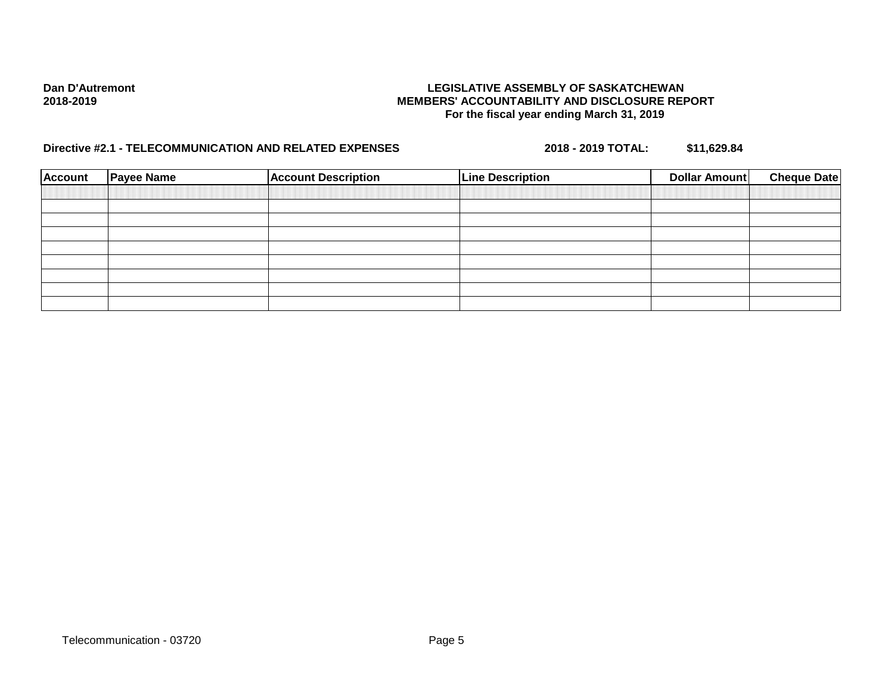| <b>Account</b> | <b>Payee Name</b> | <b>Account Description</b> | <b>Line Description</b> | <b>Cheque Date</b><br><b>Dollar Amount</b> |
|----------------|-------------------|----------------------------|-------------------------|--------------------------------------------|
|                |                   |                            |                         |                                            |
|                |                   |                            |                         |                                            |
|                |                   |                            |                         |                                            |
|                |                   |                            |                         |                                            |
|                |                   |                            |                         |                                            |
|                |                   |                            |                         |                                            |
|                |                   |                            |                         |                                            |
|                |                   |                            |                         |                                            |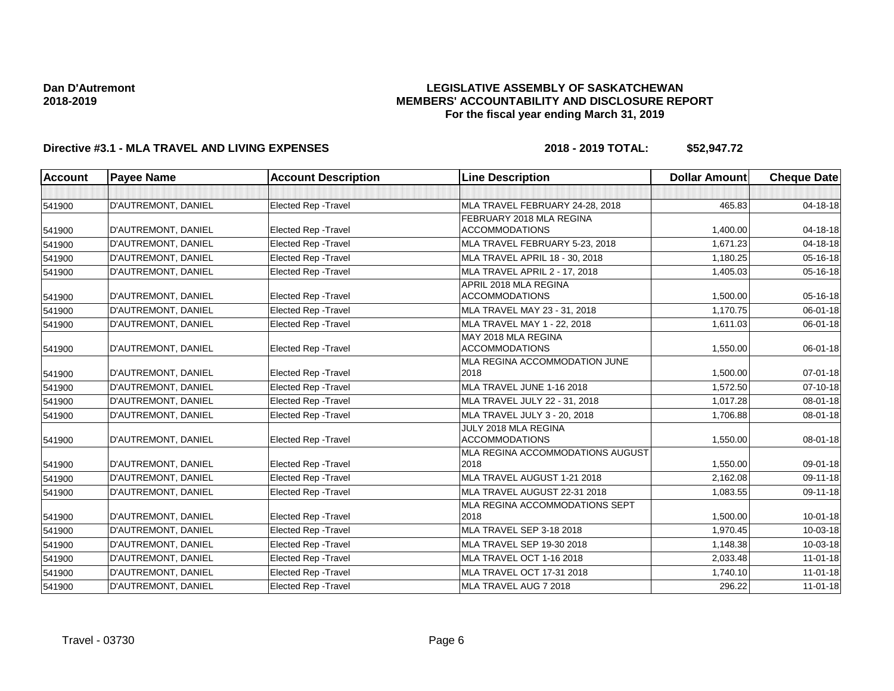## **LEGISLATIVE ASSEMBLY OF SASKATCHEWAN MEMBERS' ACCOUNTABILITY AND DISCLOSURE REPORT For the fiscal year ending March 31, 2019**

| <b>Account</b> | <b>Payee Name</b>   | <b>Account Description</b>  | <b>Line Description</b>              | <b>Dollar Amount</b> | <b>Cheque Date</b> |
|----------------|---------------------|-----------------------------|--------------------------------------|----------------------|--------------------|
|                |                     |                             |                                      |                      |                    |
| 541900         | D'AUTREMONT, DANIEL | Elected Rep - Travel        | MLA TRAVEL FEBRUARY 24-28, 2018      | 465.83               | 04-18-18           |
|                |                     |                             | FEBRUARY 2018 MLA REGINA             |                      |                    |
| 541900         | D'AUTREMONT, DANIEL | Elected Rep - Travel        | <b>ACCOMMODATIONS</b>                | 1,400.00             | 04-18-18           |
| 541900         | D'AUTREMONT, DANIEL | <b>Elected Rep - Travel</b> | MLA TRAVEL FEBRUARY 5-23, 2018       | 1,671.23             | 04-18-18           |
| 541900         | D'AUTREMONT, DANIEL | Elected Rep - Travel        | MLA TRAVEL APRIL 18 - 30, 2018       | 1,180.25             | 05-16-18           |
| 541900         | D'AUTREMONT, DANIEL | Elected Rep - Travel        | <b>MLA TRAVEL APRIL 2 - 17, 2018</b> | 1,405.03             | 05-16-18           |
|                |                     |                             | APRIL 2018 MLA REGINA                |                      |                    |
| 541900         | D'AUTREMONT, DANIEL | <b>Elected Rep - Travel</b> | <b>ACCOMMODATIONS</b>                | 1,500.00             | 05-16-18           |
| 541900         | D'AUTREMONT, DANIEL | Elected Rep - Travel        | MLA TRAVEL MAY 23 - 31, 2018         | 1,170.75             | 06-01-18           |
| 541900         | D'AUTREMONT, DANIEL | <b>Elected Rep - Travel</b> | MLA TRAVEL MAY 1 - 22, 2018          | 1,611.03             | 06-01-18           |
|                |                     |                             | MAY 2018 MLA REGINA                  |                      |                    |
| 541900         | D'AUTREMONT, DANIEL | <b>Elected Rep - Travel</b> | <b>ACCOMMODATIONS</b>                | 1,550.00             | 06-01-18           |
|                |                     |                             | MLA REGINA ACCOMMODATION JUNE        |                      |                    |
| 541900         | D'AUTREMONT, DANIEL | <b>Elected Rep - Travel</b> | 2018                                 | 1,500.00             | 07-01-18           |
| 541900         | D'AUTREMONT, DANIEL | <b>Elected Rep - Travel</b> | MLA TRAVEL JUNE 1-16 2018            | 1,572.50             | 07-10-18           |
| 541900         | D'AUTREMONT, DANIEL | Elected Rep - Travel        | MLA TRAVEL JULY 22 - 31, 2018        | 1,017.28             | 08-01-18           |
| 541900         | D'AUTREMONT, DANIEL | <b>Elected Rep - Travel</b> | MLA TRAVEL JULY 3 - 20, 2018         | 1,706.88             | 08-01-18           |
|                |                     |                             | JULY 2018 MLA REGINA                 |                      |                    |
| 541900         | D'AUTREMONT, DANIEL | <b>Elected Rep - Travel</b> | <b>ACCOMMODATIONS</b>                | 1,550.00             | 08-01-18           |
|                |                     |                             | MLA REGINA ACCOMMODATIONS AUGUST     |                      |                    |
| 541900         | D'AUTREMONT, DANIEL | <b>Elected Rep - Travel</b> | 2018                                 | 1,550.00             | 09-01-18           |
| 541900         | D'AUTREMONT, DANIEL | <b>Elected Rep - Travel</b> | MLA TRAVEL AUGUST 1-21 2018          | 2.162.08             | 09-11-18           |
| 541900         | D'AUTREMONT, DANIEL | <b>Elected Rep - Travel</b> | MLA TRAVEL AUGUST 22-31 2018         | 1,083.55             | 09-11-18           |
|                |                     |                             | MLA REGINA ACCOMMODATIONS SEPT       |                      |                    |
| 541900         | D'AUTREMONT, DANIEL | <b>Elected Rep - Travel</b> | 2018                                 | 1,500.00             | $10 - 01 - 18$     |
| 541900         | D'AUTREMONT, DANIEL | <b>Elected Rep - Travel</b> | MLA TRAVEL SEP 3-18 2018             | 1.970.45             | 10-03-18           |
| 541900         | D'AUTREMONT, DANIEL | <b>Elected Rep - Travel</b> | MLA TRAVEL SEP 19-30 2018            | 1,148.38             | 10-03-18           |
| 541900         | D'AUTREMONT, DANIEL | Elected Rep - Travel        | MLA TRAVEL OCT 1-16 2018             | 2,033.48             | $11 - 01 - 18$     |
| 541900         | D'AUTREMONT, DANIEL | Elected Rep - Travel        | MLA TRAVEL OCT 17-31 2018            | 1,740.10             | $11-01-18$         |
| 541900         | D'AUTREMONT, DANIEL | Elected Rep - Travel        | MLA TRAVEL AUG 7 2018                | 296.22               | $11-01-18$         |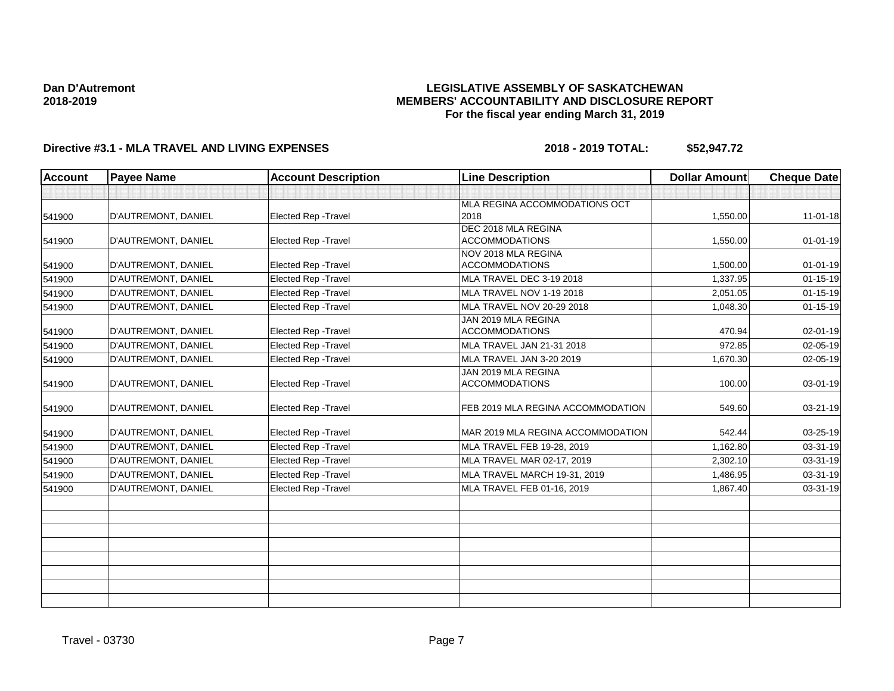## **LEGISLATIVE ASSEMBLY OF SASKATCHEWAN MEMBERS' ACCOUNTABILITY AND DISCLOSURE REPORT For the fiscal year ending March 31, 2019**

| <b>Account</b> | <b>Payee Name</b>   | <b>Account Description</b>  | <b>Line Description</b>                      | <b>Dollar Amount</b> | <b>Cheque Date</b> |
|----------------|---------------------|-----------------------------|----------------------------------------------|----------------------|--------------------|
|                |                     |                             |                                              |                      |                    |
| 541900         | D'AUTREMONT, DANIEL | <b>Elected Rep - Travel</b> | MLA REGINA ACCOMMODATIONS OCT<br>2018        | 1,550.00             | $11-01-18$         |
| 541900         | D'AUTREMONT, DANIEL | <b>Elected Rep - Travel</b> | DEC 2018 MLA REGINA<br><b>ACCOMMODATIONS</b> | 1,550.00             | $01 - 01 - 19$     |
| 541900         | D'AUTREMONT, DANIEL | <b>Elected Rep - Travel</b> | NOV 2018 MLA REGINA<br><b>ACCOMMODATIONS</b> | 1,500.00             | $01 - 01 - 19$     |
| 541900         | D'AUTREMONT, DANIEL | <b>Elected Rep - Travel</b> | MLA TRAVEL DEC 3-19 2018                     | 1.337.95             | $01 - 15 - 19$     |
| 541900         | D'AUTREMONT, DANIEL | Elected Rep - Travel        | MLA TRAVEL NOV 1-19 2018                     | 2,051.05             | $01 - 15 - 19$     |
| 541900         | D'AUTREMONT, DANIEL | <b>Elected Rep - Travel</b> | MLA TRAVEL NOV 20-29 2018                    | 1,048.30             | $01 - 15 - 19$     |
| 541900         | D'AUTREMONT, DANIEL | Elected Rep - Travel        | JAN 2019 MLA REGINA<br><b>ACCOMMODATIONS</b> | 470.94               | 02-01-19           |
| 541900         | D'AUTREMONT, DANIEL | <b>Elected Rep - Travel</b> | MLA TRAVEL JAN 21-31 2018                    | 972.85               | 02-05-19           |
| 541900         | D'AUTREMONT, DANIEL | Elected Rep - Travel        | MLA TRAVEL JAN 3-20 2019                     | 1,670.30             | $02 - 05 - 19$     |
| 541900         | D'AUTREMONT, DANIEL | Elected Rep - Travel        | JAN 2019 MLA REGINA<br><b>ACCOMMODATIONS</b> | 100.00               | 03-01-19           |
| 541900         | D'AUTREMONT, DANIEL | <b>Elected Rep - Travel</b> | FEB 2019 MLA REGINA ACCOMMODATION            | 549.60               | 03-21-19           |
| 541900         | D'AUTREMONT, DANIEL | <b>Elected Rep - Travel</b> | MAR 2019 MLA REGINA ACCOMMODATION            | 542.44               | 03-25-19           |
| 541900         | D'AUTREMONT, DANIEL | Elected Rep - Travel        | MLA TRAVEL FEB 19-28, 2019                   | 1,162.80             | 03-31-19           |
| 541900         | D'AUTREMONT, DANIEL | <b>Elected Rep - Travel</b> | MLA TRAVEL MAR 02-17, 2019                   | 2,302.10             | 03-31-19           |
| 541900         | D'AUTREMONT, DANIEL | Elected Rep - Travel        | MLA TRAVEL MARCH 19-31, 2019                 | 1.486.95             | 03-31-19           |
| 541900         | D'AUTREMONT, DANIEL | Elected Rep - Travel        | MLA TRAVEL FEB 01-16, 2019                   | 1.867.40             | 03-31-19           |
|                |                     |                             |                                              |                      |                    |
|                |                     |                             |                                              |                      |                    |
|                |                     |                             |                                              |                      |                    |
|                |                     |                             |                                              |                      |                    |
|                |                     |                             |                                              |                      |                    |
|                |                     |                             |                                              |                      |                    |
|                |                     |                             |                                              |                      |                    |
|                |                     |                             |                                              |                      |                    |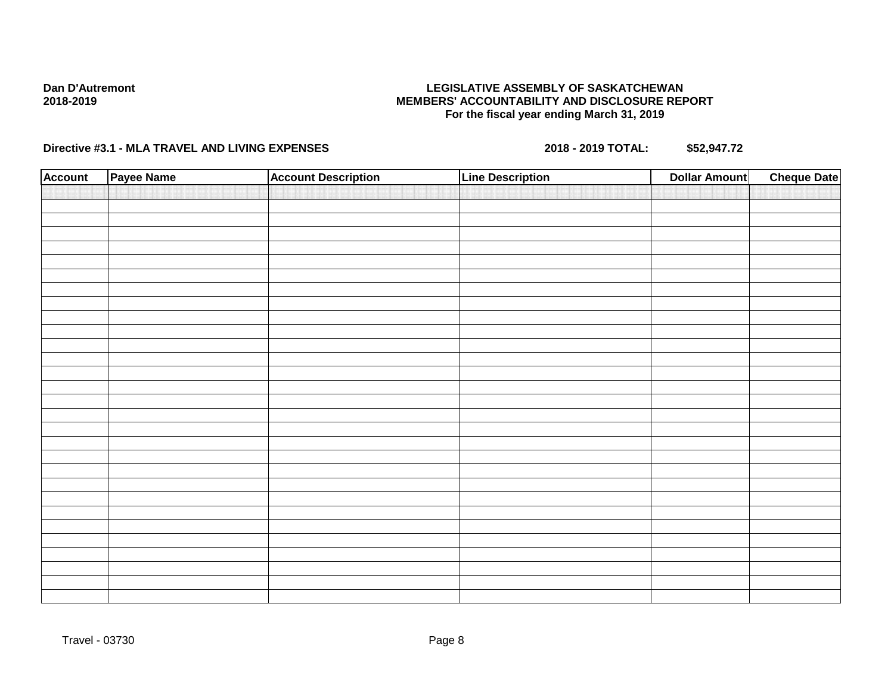## **LEGISLATIVE ASSEMBLY OF SASKATCHEWAN MEMBERS' ACCOUNTABILITY AND DISCLOSURE REPORT For the fiscal year ending March 31, 2019**

| <b>Account</b> | Payee Name | <b>Account Description</b> | <b>Line Description</b> | <b>Dollar Amount</b> | <b>Cheque Date</b> |
|----------------|------------|----------------------------|-------------------------|----------------------|--------------------|
|                |            |                            |                         |                      |                    |
|                |            |                            |                         |                      |                    |
|                |            |                            |                         |                      |                    |
|                |            |                            |                         |                      |                    |
|                |            |                            |                         |                      |                    |
|                |            |                            |                         |                      |                    |
|                |            |                            |                         |                      |                    |
|                |            |                            |                         |                      |                    |
|                |            |                            |                         |                      |                    |
|                |            |                            |                         |                      |                    |
|                |            |                            |                         |                      |                    |
|                |            |                            |                         |                      |                    |
|                |            |                            |                         |                      |                    |
|                |            |                            |                         |                      |                    |
|                |            |                            |                         |                      |                    |
|                |            |                            |                         |                      |                    |
|                |            |                            |                         |                      |                    |
|                |            |                            |                         |                      |                    |
|                |            |                            |                         |                      |                    |
|                |            |                            |                         |                      |                    |
|                |            |                            |                         |                      |                    |
|                |            |                            |                         |                      |                    |
|                |            |                            |                         |                      |                    |
|                |            |                            |                         |                      |                    |
|                |            |                            |                         |                      |                    |
|                |            |                            |                         |                      |                    |
|                |            |                            |                         |                      |                    |
|                |            |                            |                         |                      |                    |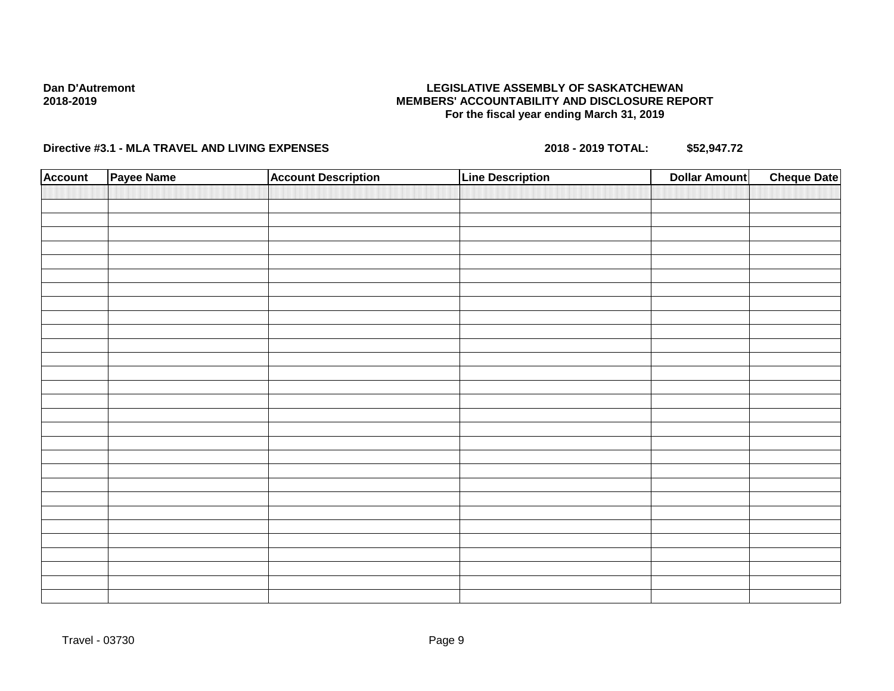## **LEGISLATIVE ASSEMBLY OF SASKATCHEWAN MEMBERS' ACCOUNTABILITY AND DISCLOSURE REPORT For the fiscal year ending March 31, 2019**

| <b>Account</b> | Payee Name | <b>Account Description</b> | <b>Line Description</b> | <b>Dollar Amount</b> | <b>Cheque Date</b> |
|----------------|------------|----------------------------|-------------------------|----------------------|--------------------|
|                |            |                            |                         |                      |                    |
|                |            |                            |                         |                      |                    |
|                |            |                            |                         |                      |                    |
|                |            |                            |                         |                      |                    |
|                |            |                            |                         |                      |                    |
|                |            |                            |                         |                      |                    |
|                |            |                            |                         |                      |                    |
|                |            |                            |                         |                      |                    |
|                |            |                            |                         |                      |                    |
|                |            |                            |                         |                      |                    |
|                |            |                            |                         |                      |                    |
|                |            |                            |                         |                      |                    |
|                |            |                            |                         |                      |                    |
|                |            |                            |                         |                      |                    |
|                |            |                            |                         |                      |                    |
|                |            |                            |                         |                      |                    |
|                |            |                            |                         |                      |                    |
|                |            |                            |                         |                      |                    |
|                |            |                            |                         |                      |                    |
|                |            |                            |                         |                      |                    |
|                |            |                            |                         |                      |                    |
|                |            |                            |                         |                      |                    |
|                |            |                            |                         |                      |                    |
|                |            |                            |                         |                      |                    |
|                |            |                            |                         |                      |                    |
|                |            |                            |                         |                      |                    |
|                |            |                            |                         |                      |                    |
|                |            |                            |                         |                      |                    |
|                |            |                            |                         |                      |                    |
|                |            |                            |                         |                      |                    |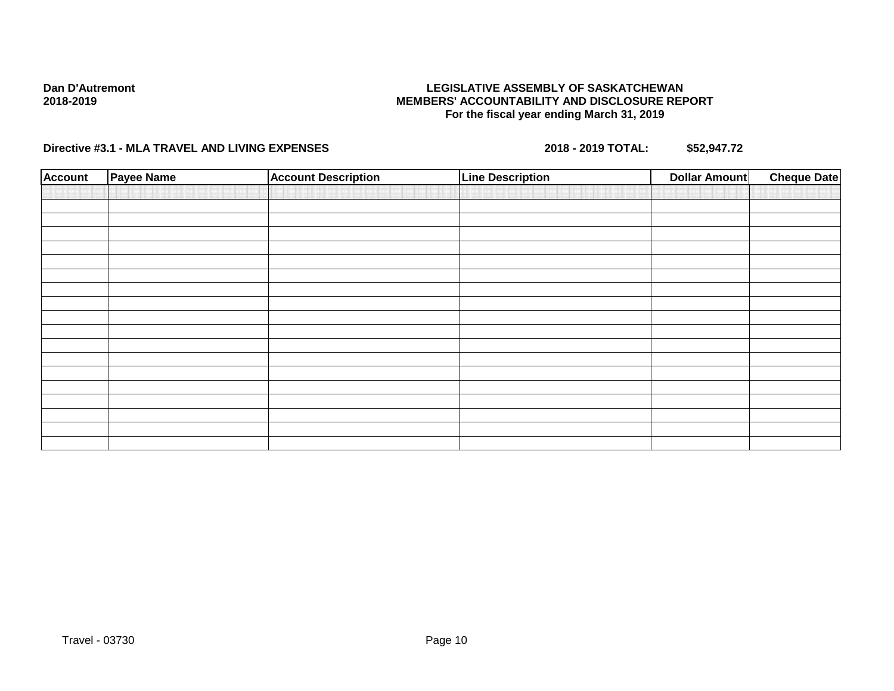## **LEGISLATIVE ASSEMBLY OF SASKATCHEWAN MEMBERS' ACCOUNTABILITY AND DISCLOSURE REPORT For the fiscal year ending March 31, 2019**

| <b>Account</b> | Payee Name | <b>Account Description</b> | <b>Line Description</b> | <b>Dollar Amount</b> | <b>Cheque Date</b> |
|----------------|------------|----------------------------|-------------------------|----------------------|--------------------|
|                |            |                            |                         |                      |                    |
|                |            |                            |                         |                      |                    |
|                |            |                            |                         |                      |                    |
|                |            |                            |                         |                      |                    |
|                |            |                            |                         |                      |                    |
|                |            |                            |                         |                      |                    |
|                |            |                            |                         |                      |                    |
|                |            |                            |                         |                      |                    |
|                |            |                            |                         |                      |                    |
|                |            |                            |                         |                      |                    |
|                |            |                            |                         |                      |                    |
|                |            |                            |                         |                      |                    |
|                |            |                            |                         |                      |                    |
|                |            |                            |                         |                      |                    |
|                |            |                            |                         |                      |                    |
|                |            |                            |                         |                      |                    |
|                |            |                            |                         |                      |                    |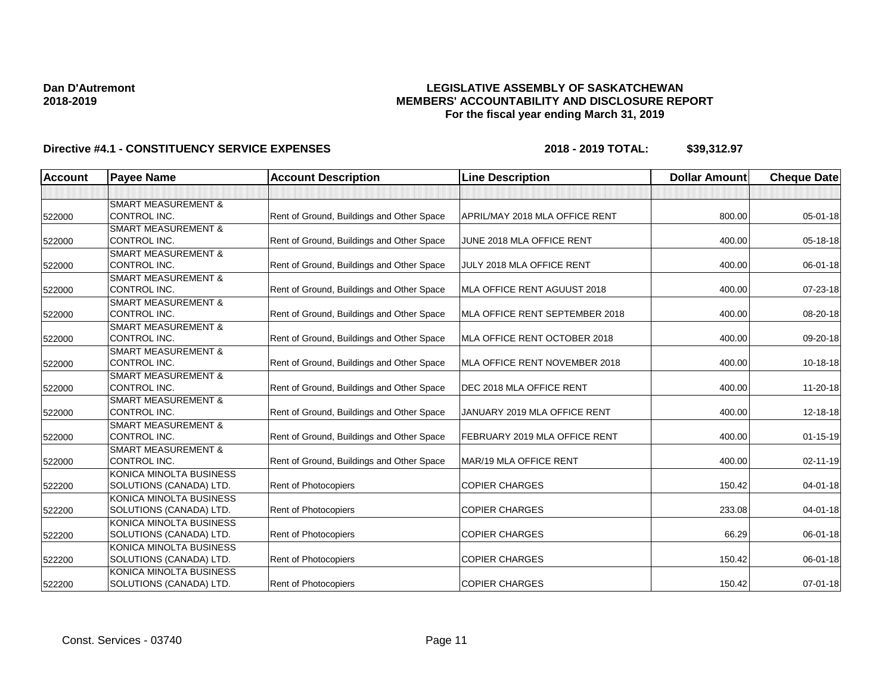## **LEGISLATIVE ASSEMBLY OF SASKATCHEWAN MEMBERS' ACCOUNTABILITY AND DISCLOSURE REPORT For the fiscal year ending March 31, 2019**

| <b>Account</b> | <b>Payee Name</b>              | <b>Account Description</b>                | <b>Line Description</b>        | <b>Dollar Amount</b> | <b>Cheque Date</b> |
|----------------|--------------------------------|-------------------------------------------|--------------------------------|----------------------|--------------------|
|                |                                |                                           |                                |                      |                    |
|                | <b>SMART MEASUREMENT &amp;</b> |                                           |                                |                      |                    |
| 522000         | CONTROL INC.                   | Rent of Ground, Buildings and Other Space | APRIL/MAY 2018 MLA OFFICE RENT | 800.00               | 05-01-18           |
|                | <b>SMART MEASUREMENT &amp;</b> |                                           |                                |                      |                    |
| 522000         | CONTROL INC.                   | Rent of Ground, Buildings and Other Space | JUNE 2018 MLA OFFICE RENT      | 400.00               | 05-18-18           |
|                | <b>SMART MEASUREMENT &amp;</b> |                                           |                                |                      |                    |
| 522000         | CONTROL INC.                   | Rent of Ground, Buildings and Other Space | JULY 2018 MLA OFFICE RENT      | 400.00               | 06-01-18           |
|                | <b>SMART MEASUREMENT &amp;</b> |                                           |                                |                      |                    |
| 522000         | CONTROL INC.                   | Rent of Ground, Buildings and Other Space | MLA OFFICE RENT AGUUST 2018    | 400.00               | 07-23-18           |
|                | <b>SMART MEASUREMENT &amp;</b> |                                           |                                |                      |                    |
| 522000         | CONTROL INC.                   | Rent of Ground, Buildings and Other Space | MLA OFFICE RENT SEPTEMBER 2018 | 400.00               | 08-20-18           |
|                | <b>SMART MEASUREMENT &amp;</b> |                                           |                                |                      |                    |
| 522000         | CONTROL INC.                   | Rent of Ground, Buildings and Other Space | MLA OFFICE RENT OCTOBER 2018   | 400.00               | 09-20-18           |
|                | <b>SMART MEASUREMENT &amp;</b> |                                           |                                |                      |                    |
| 522000         | CONTROL INC.                   | Rent of Ground, Buildings and Other Space | MLA OFFICE RENT NOVEMBER 2018  | 400.00               | 10-18-18           |
|                | <b>SMART MEASUREMENT &amp;</b> |                                           |                                |                      |                    |
| 522000         | CONTROL INC.                   | Rent of Ground, Buildings and Other Space | DEC 2018 MLA OFFICE RENT       | 400.00               | 11-20-18           |
|                | <b>SMART MEASUREMENT &amp;</b> |                                           |                                |                      |                    |
| 522000         | CONTROL INC.                   | Rent of Ground, Buildings and Other Space | JANUARY 2019 MLA OFFICE RENT   | 400.00               | 12-18-18           |
|                | <b>SMART MEASUREMENT &amp;</b> |                                           |                                |                      |                    |
| 522000         | CONTROL INC.                   | Rent of Ground, Buildings and Other Space | FEBRUARY 2019 MLA OFFICE RENT  | 400.00               | $01 - 15 - 19$     |
|                | <b>SMART MEASUREMENT &amp;</b> |                                           |                                |                      |                    |
| 522000         | CONTROL INC.                   | Rent of Ground, Buildings and Other Space | MAR/19 MLA OFFICE RENT         | 400.00               | $02 - 11 - 19$     |
|                | KONICA MINOLTA BUSINESS        |                                           |                                |                      |                    |
| 522200         | SOLUTIONS (CANADA) LTD.        | Rent of Photocopiers                      | <b>COPIER CHARGES</b>          | 150.42               | $04 - 01 - 18$     |
|                | KONICA MINOLTA BUSINESS        |                                           |                                |                      |                    |
| 522200         | SOLUTIONS (CANADA) LTD.        | <b>Rent of Photocopiers</b>               | <b>COPIER CHARGES</b>          | 233.08               | $04 - 01 - 18$     |
|                | KONICA MINOLTA BUSINESS        |                                           |                                |                      |                    |
| 522200         | SOLUTIONS (CANADA) LTD.        | Rent of Photocopiers                      | <b>COPIER CHARGES</b>          | 66.29                | 06-01-18           |
|                | KONICA MINOLTA BUSINESS        |                                           |                                |                      |                    |
| 522200         | SOLUTIONS (CANADA) LTD.        | Rent of Photocopiers                      | <b>COPIER CHARGES</b>          | 150.42               | 06-01-18           |
|                | KONICA MINOLTA BUSINESS        |                                           |                                |                      |                    |
| 522200         | SOLUTIONS (CANADA) LTD.        | Rent of Photocopiers                      | <b>COPIER CHARGES</b>          | 150.42               | $07 - 01 - 18$     |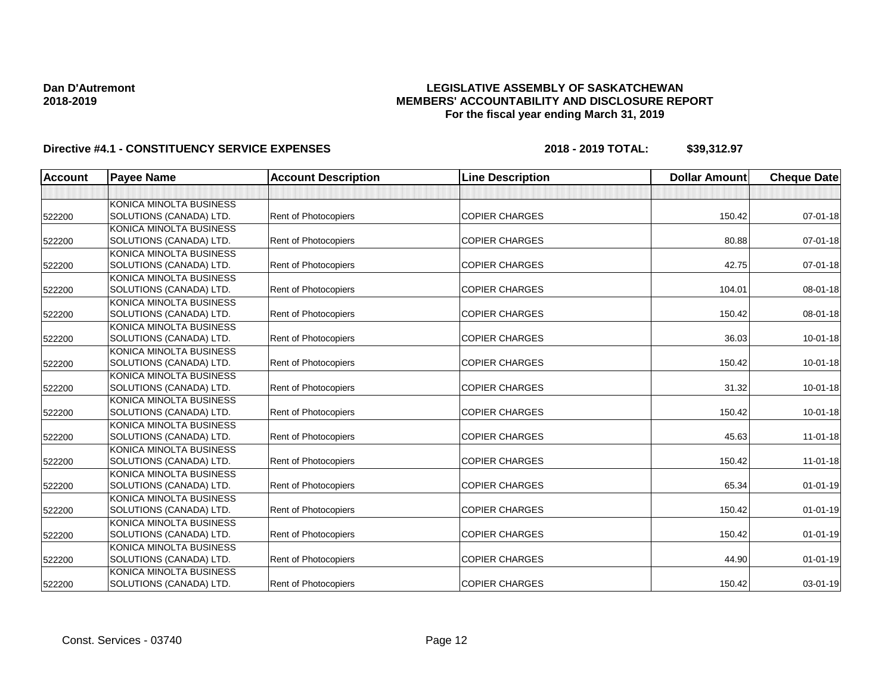## **LEGISLATIVE ASSEMBLY OF SASKATCHEWAN MEMBERS' ACCOUNTABILITY AND DISCLOSURE REPORT For the fiscal year ending March 31, 2019**

| <b>Account</b> | <b>Payee Name</b>       | <b>Account Description</b>  | <b>Line Description</b> | <b>Dollar Amount</b> | <b>Cheque Date</b> |
|----------------|-------------------------|-----------------------------|-------------------------|----------------------|--------------------|
|                |                         |                             |                         |                      |                    |
|                | KONICA MINOLTA BUSINESS |                             |                         |                      |                    |
| 522200         | SOLUTIONS (CANADA) LTD. | Rent of Photocopiers        | <b>COPIER CHARGES</b>   | 150.42               | $07 - 01 - 18$     |
|                | KONICA MINOLTA BUSINESS |                             |                         |                      |                    |
| 522200         | SOLUTIONS (CANADA) LTD. | Rent of Photocopiers        | <b>COPIER CHARGES</b>   | 80.88                | $07 - 01 - 18$     |
|                | KONICA MINOLTA BUSINESS |                             |                         |                      |                    |
| 522200         | SOLUTIONS (CANADA) LTD. | Rent of Photocopiers        | <b>COPIER CHARGES</b>   | 42.75                | $07 - 01 - 18$     |
|                | KONICA MINOLTA BUSINESS |                             |                         |                      |                    |
| 522200         | SOLUTIONS (CANADA) LTD. | <b>Rent of Photocopiers</b> | <b>COPIER CHARGES</b>   | 104.01               | 08-01-18           |
|                | KONICA MINOLTA BUSINESS |                             |                         |                      |                    |
| 522200         | SOLUTIONS (CANADA) LTD. | <b>Rent of Photocopiers</b> | <b>COPIER CHARGES</b>   | 150.42               | 08-01-18           |
|                | KONICA MINOLTA BUSINESS |                             |                         |                      |                    |
| 522200         | SOLUTIONS (CANADA) LTD. | <b>Rent of Photocopiers</b> | <b>COPIER CHARGES</b>   | 36.03                | $10 - 01 - 18$     |
|                | KONICA MINOLTA BUSINESS |                             |                         |                      |                    |
| 522200         | SOLUTIONS (CANADA) LTD. | Rent of Photocopiers        | <b>COPIER CHARGES</b>   | 150.42               | $10 - 01 - 18$     |
|                | KONICA MINOLTA BUSINESS |                             |                         |                      |                    |
| 522200         | SOLUTIONS (CANADA) LTD. | Rent of Photocopiers        | <b>COPIER CHARGES</b>   | 31.32                | $10 - 01 - 18$     |
|                | KONICA MINOLTA BUSINESS |                             |                         |                      |                    |
| 522200         | SOLUTIONS (CANADA) LTD. | <b>Rent of Photocopiers</b> | <b>COPIER CHARGES</b>   | 150.42               | $10 - 01 - 18$     |
|                | KONICA MINOLTA BUSINESS |                             |                         |                      |                    |
| 522200         | SOLUTIONS (CANADA) LTD. | <b>Rent of Photocopiers</b> | <b>COPIER CHARGES</b>   | 45.63                | $11 - 01 - 18$     |
|                | KONICA MINOLTA BUSINESS |                             |                         |                      |                    |
| 522200         | SOLUTIONS (CANADA) LTD. | Rent of Photocopiers        | <b>COPIER CHARGES</b>   | 150.42               | $11-01-18$         |
|                | KONICA MINOLTA BUSINESS |                             |                         |                      |                    |
| 522200         | SOLUTIONS (CANADA) LTD. | Rent of Photocopiers        | <b>COPIER CHARGES</b>   | 65.34                | $01 - 01 - 19$     |
|                | KONICA MINOLTA BUSINESS |                             |                         |                      |                    |
| 522200         | SOLUTIONS (CANADA) LTD. | <b>Rent of Photocopiers</b> | <b>COPIER CHARGES</b>   | 150.42               | $01 - 01 - 19$     |
|                | KONICA MINOLTA BUSINESS |                             |                         |                      |                    |
| 522200         | SOLUTIONS (CANADA) LTD. | <b>Rent of Photocopiers</b> | <b>COPIER CHARGES</b>   | 150.42               | $01 - 01 - 19$     |
|                | KONICA MINOLTA BUSINESS |                             |                         |                      |                    |
| 522200         | SOLUTIONS (CANADA) LTD. | Rent of Photocopiers        | <b>COPIER CHARGES</b>   | 44.90                | $01 - 01 - 19$     |
|                | KONICA MINOLTA BUSINESS |                             |                         |                      |                    |
| 522200         | SOLUTIONS (CANADA) LTD. | Rent of Photocopiers        | <b>COPIER CHARGES</b>   | 150.42               | $03 - 01 - 19$     |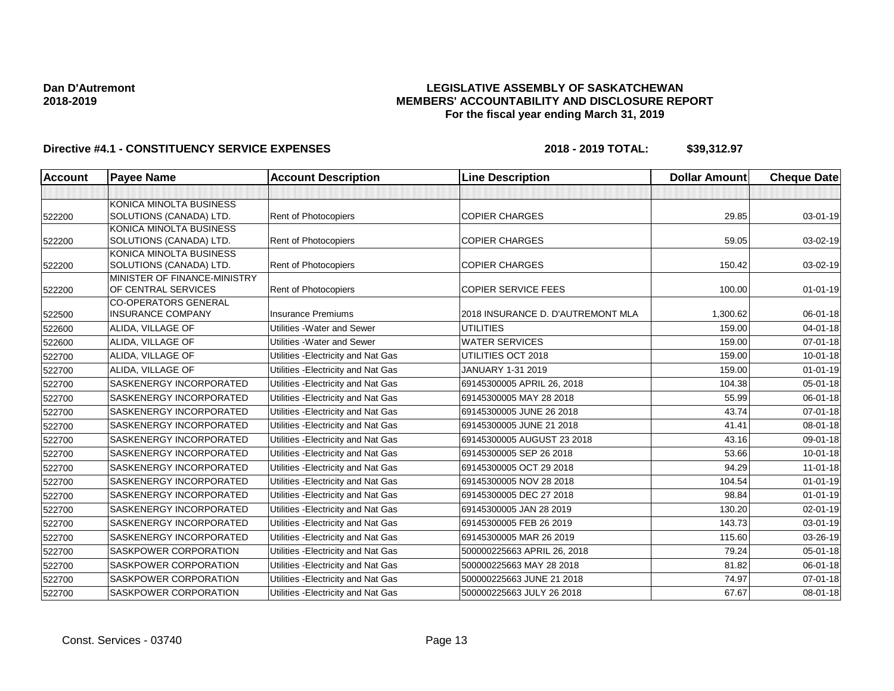## **LEGISLATIVE ASSEMBLY OF SASKATCHEWAN MEMBERS' ACCOUNTABILITY AND DISCLOSURE REPORT For the fiscal year ending March 31, 2019**

| <b>Account</b> | <b>Payee Name</b>                                   | <b>Account Description</b>          | <b>Line Description</b>           | <b>Dollar Amount</b> | <b>Cheque Date</b> |
|----------------|-----------------------------------------------------|-------------------------------------|-----------------------------------|----------------------|--------------------|
|                |                                                     |                                     |                                   |                      |                    |
|                | KONICA MINOLTA BUSINESS                             |                                     |                                   |                      |                    |
| 522200         | SOLUTIONS (CANADA) LTD.                             | Rent of Photocopiers                | <b>COPIER CHARGES</b>             | 29.85                | 03-01-19           |
|                | KONICA MINOLTA BUSINESS                             |                                     |                                   |                      |                    |
| 522200         | SOLUTIONS (CANADA) LTD.                             | Rent of Photocopiers                | <b>COPIER CHARGES</b>             | 59.05                | 03-02-19           |
|                | KONICA MINOLTA BUSINESS                             |                                     |                                   |                      |                    |
| 522200         | SOLUTIONS (CANADA) LTD.                             | Rent of Photocopiers                | <b>COPIER CHARGES</b>             | 150.42               | 03-02-19           |
|                | MINISTER OF FINANCE-MINISTRY<br>OF CENTRAL SERVICES |                                     | <b>COPIER SERVICE FEES</b>        |                      |                    |
| 522200         | <b>CO-OPERATORS GENERAL</b>                         | Rent of Photocopiers                |                                   | 100.00               | $01 - 01 - 19$     |
| 522500         | <b>INSURANCE COMPANY</b>                            | <b>Insurance Premiums</b>           | 2018 INSURANCE D. D'AUTREMONT MLA | 1,300.62             | 06-01-18           |
| 522600         | ALIDA, VILLAGE OF                                   | Utilities - Water and Sewer         | <b>UTILITIES</b>                  | 159.00               | $04 - 01 - 18$     |
| 522600         | ALIDA, VILLAGE OF                                   | Utilities - Water and Sewer         | <b>WATER SERVICES</b>             | 159.00               | $07 - 01 - 18$     |
| 522700         | ALIDA, VILLAGE OF                                   | Utilities - Electricity and Nat Gas | UTILITIES OCT 2018                | 159.00               | $10 - 01 - 18$     |
| 522700         | ALIDA, VILLAGE OF                                   | Utilities - Electricity and Nat Gas | JANUARY 1-31 2019                 | 159.00               | $01 - 01 - 19$     |
| 522700         | SASKENERGY INCORPORATED                             | Utilities - Electricity and Nat Gas | 69145300005 APRIL 26, 2018        | 104.38               | 05-01-18           |
| 522700         | <b>SASKENERGY INCORPORATED</b>                      | Utilities - Electricity and Nat Gas | 69145300005 MAY 28 2018           | 55.99                | 06-01-18           |
| 522700         | SASKENERGY INCORPORATED                             | Utilities - Electricity and Nat Gas | 69145300005 JUNE 26 2018          | 43.74                | 07-01-18           |
| 522700         | <b>SASKENERGY INCORPORATED</b>                      | Utilities - Electricity and Nat Gas | 69145300005 JUNE 21 2018          | 41.41                | $08 - 01 - 18$     |
| 522700         | SASKENERGY INCORPORATED                             | Utilities - Electricity and Nat Gas | 69145300005 AUGUST 23 2018        | 43.16                | 09-01-18           |
| 522700         | SASKENERGY INCORPORATED                             | Utilities - Electricity and Nat Gas | 69145300005 SEP 26 2018           | 53.66                | $10 - 01 - 18$     |
| 522700         | <b>SASKENERGY INCORPORATED</b>                      | Utilities - Electricity and Nat Gas | 69145300005 OCT 29 2018           | 94.29                | $11-01-18$         |
| 522700         | SASKENERGY INCORPORATED                             | Utilities - Electricity and Nat Gas | 69145300005 NOV 28 2018           | 104.54               | $01 - 01 - 19$     |
| 522700         | <b>SASKENERGY INCORPORATED</b>                      | Utilities - Electricity and Nat Gas | 69145300005 DEC 27 2018           | 98.84                | $01 - 01 - 19$     |
| 522700         | SASKENERGY INCORPORATED                             | Utilities - Electricity and Nat Gas | 69145300005 JAN 28 2019           | 130.20               | 02-01-19           |
| 522700         | SASKENERGY INCORPORATED                             | Utilities - Electricity and Nat Gas | 69145300005 FEB 26 2019           | 143.73               | $03 - 01 - 19$     |
| 522700         | SASKENERGY INCORPORATED                             | Utilities - Electricity and Nat Gas | 69145300005 MAR 26 2019           | 115.60               | 03-26-19           |
| 522700         | <b>SASKPOWER CORPORATION</b>                        | Utilities - Electricity and Nat Gas | 500000225663 APRIL 26, 2018       | 79.24                | $05 - 01 - 18$     |
| 522700         | <b>SASKPOWER CORPORATION</b>                        | Utilities - Electricity and Nat Gas | 500000225663 MAY 28 2018          | 81.82                | $06 - 01 - 18$     |
| 522700         | SASKPOWER CORPORATION                               | Utilities - Electricity and Nat Gas | 500000225663 JUNE 21 2018         | 74.97                | $07 - 01 - 18$     |
| 522700         | SASKPOWER CORPORATION                               | Utilities - Electricity and Nat Gas | 500000225663 JULY 26 2018         | 67.67                | $08 - 01 - 18$     |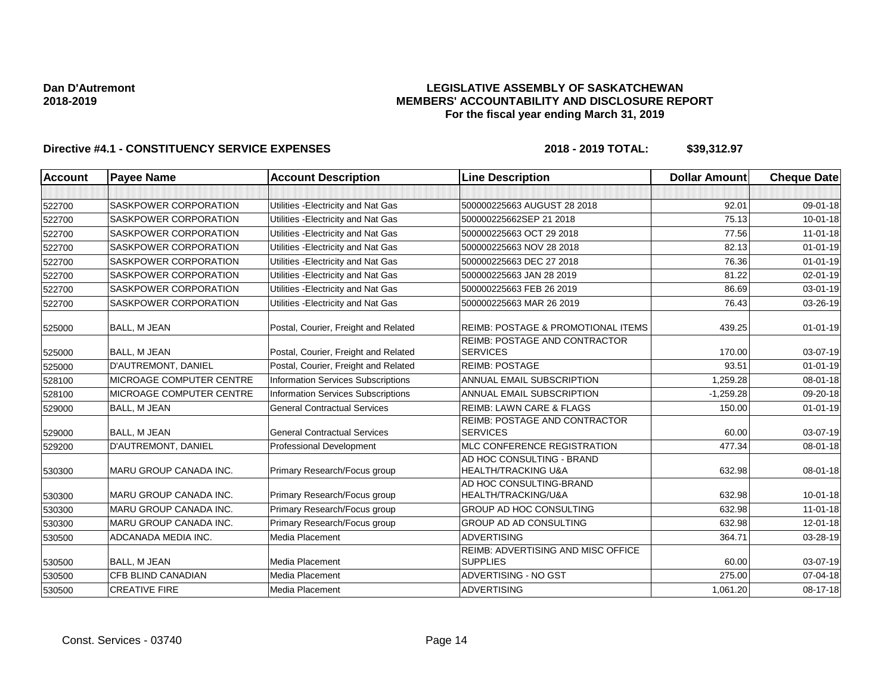## **LEGISLATIVE ASSEMBLY OF SASKATCHEWAN MEMBERS' ACCOUNTABILITY AND DISCLOSURE REPORT For the fiscal year ending March 31, 2019**

| <b>Account</b> | <b>Payee Name</b>            | <b>Account Description</b>                | <b>Line Description</b>                                     | <b>Dollar Amount</b> | <b>Cheque Date</b> |
|----------------|------------------------------|-------------------------------------------|-------------------------------------------------------------|----------------------|--------------------|
|                |                              |                                           |                                                             |                      |                    |
| 522700         | <b>SASKPOWER CORPORATION</b> | Utilities - Electricity and Nat Gas       | 500000225663 AUGUST 28 2018                                 | 92.01                | 09-01-18           |
| 522700         | <b>SASKPOWER CORPORATION</b> | Utilities - Electricity and Nat Gas       | 500000225662SEP 21 2018                                     | 75.13                | $10 - 01 - 18$     |
| 522700         | <b>SASKPOWER CORPORATION</b> | Utilities - Electricity and Nat Gas       | 500000225663 OCT 29 2018                                    | 77.56                | $11-01-18$         |
| 522700         | SASKPOWER CORPORATION        | Utilities - Electricity and Nat Gas       | 500000225663 NOV 28 2018                                    | 82.13                | $01 - 01 - 19$     |
| 522700         | <b>SASKPOWER CORPORATION</b> | Utilities - Electricity and Nat Gas       | 500000225663 DEC 27 2018                                    | 76.36                | $01 - 01 - 19$     |
| 522700         | SASKPOWER CORPORATION        | Utilities - Electricity and Nat Gas       | 500000225663 JAN 28 2019                                    | 81.22                | $02 - 01 - 19$     |
| 522700         | SASKPOWER CORPORATION        | Utilities - Electricity and Nat Gas       | 500000225663 FEB 26 2019                                    | 86.69                | 03-01-19           |
| 522700         | SASKPOWER CORPORATION        | Utilities - Electricity and Nat Gas       | 500000225663 MAR 26 2019                                    | 76.43                | 03-26-19           |
| 525000         | <b>BALL, M JEAN</b>          | Postal, Courier, Freight and Related      | <b>REIMB: POSTAGE &amp; PROMOTIONAL ITEMS</b>               | 439.25               | $01 - 01 - 19$     |
|                |                              |                                           | REIMB: POSTAGE AND CONTRACTOR                               |                      |                    |
| 525000         | <b>BALL, M JEAN</b>          | Postal, Courier, Freight and Related      | <b>SERVICES</b>                                             | 170.00               | 03-07-19           |
| 525000         | D'AUTREMONT, DANIEL          | Postal, Courier, Freight and Related      | <b>REIMB: POSTAGE</b>                                       | 93.51                | $01 - 01 - 19$     |
| 528100         | MICROAGE COMPUTER CENTRE     | <b>Information Services Subscriptions</b> | ANNUAL EMAIL SUBSCRIPTION                                   | 1.259.28             | 08-01-18           |
| 528100         | MICROAGE COMPUTER CENTRE     | <b>Information Services Subscriptions</b> | ANNUAL EMAIL SUBSCRIPTION                                   | $-1,259.28$          | 09-20-18           |
| 529000         | BALL, M JEAN                 | <b>General Contractual Services</b>       | <b>REIMB: LAWN CARE &amp; FLAGS</b>                         | 150.00               | $01 - 01 - 19$     |
| 529000         | <b>BALL, M JEAN</b>          | <b>General Contractual Services</b>       | REIMB: POSTAGE AND CONTRACTOR<br><b>SERVICES</b>            | 60.00                | 03-07-19           |
| 529200         | D'AUTREMONT, DANIEL          | Professional Development                  | MLC CONFERENCE REGISTRATION                                 | 477.34               | 08-01-18           |
| 530300         | MARU GROUP CANADA INC.       | Primary Research/Focus group              | AD HOC CONSULTING - BRAND<br><b>HEALTH/TRACKING U&amp;A</b> | 632.98               | 08-01-18           |
| 530300         | MARU GROUP CANADA INC.       | Primary Research/Focus group              | AD HOC CONSULTING-BRAND<br>HEALTH/TRACKING/U&A              | 632.98               | $10 - 01 - 18$     |
| 530300         | MARU GROUP CANADA INC.       | Primary Research/Focus group              | <b>GROUP AD HOC CONSULTING</b>                              | 632.98               | $11 - 01 - 18$     |
| 530300         | MARU GROUP CANADA INC.       | Primary Research/Focus group              | <b>GROUP AD AD CONSULTING</b>                               | 632.98               | $12 - 01 - 18$     |
| 530500         | ADCANADA MEDIA INC.          | Media Placement                           | <b>ADVERTISING</b>                                          | 364.71               | 03-28-19           |
| 530500         | <b>BALL, M JEAN</b>          | Media Placement                           | REIMB: ADVERTISING AND MISC OFFICE<br><b>SUPPLIES</b>       | 60.00                | 03-07-19           |
| 530500         | CFB BLIND CANADIAN           | Media Placement                           | ADVERTISING - NO GST                                        | 275.00               | 07-04-18           |
| 530500         | <b>CREATIVE FIRE</b>         | Media Placement                           | <b>ADVERTISING</b>                                          | 1,061.20             | 08-17-18           |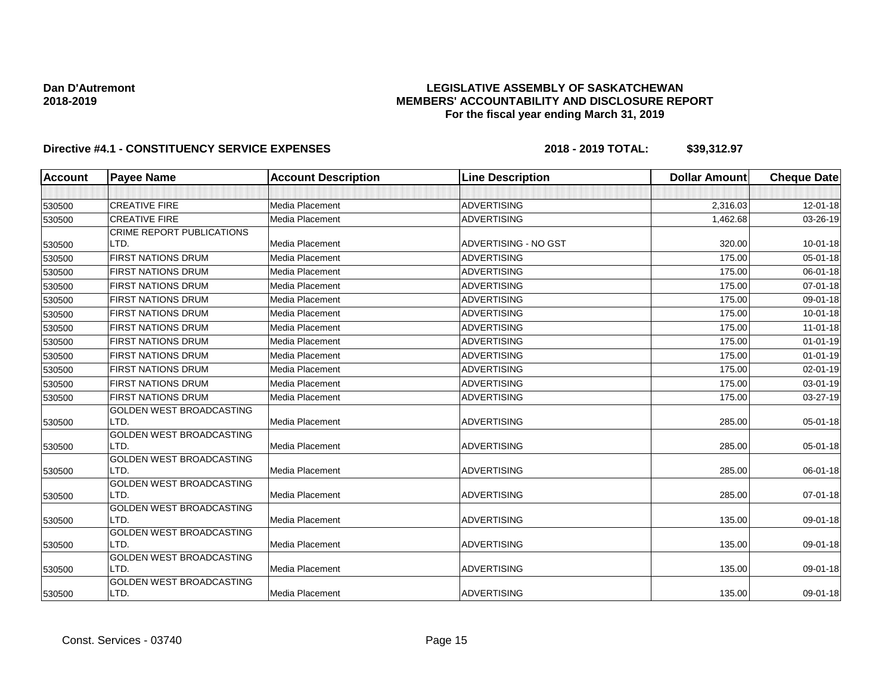## **LEGISLATIVE ASSEMBLY OF SASKATCHEWAN MEMBERS' ACCOUNTABILITY AND DISCLOSURE REPORT For the fiscal year ending March 31, 2019**

| Account | <b>Payee Name</b>                       | <b>Account Description</b> | <b>Line Description</b> | <b>Dollar Amount</b> | <b>Cheque Date</b> |
|---------|-----------------------------------------|----------------------------|-------------------------|----------------------|--------------------|
|         |                                         |                            |                         |                      |                    |
| 530500  | <b>CREATIVE FIRE</b>                    | <b>Media Placement</b>     | <b>ADVERTISING</b>      | 2,316.03             | $12 - 01 - 18$     |
| 530500  | <b>CREATIVE FIRE</b>                    | <b>Media Placement</b>     | <b>ADVERTISING</b>      | 1,462.68             | 03-26-19           |
|         | <b>CRIME REPORT PUBLICATIONS</b>        |                            |                         |                      |                    |
| 530500  | LTD.                                    | <b>Media Placement</b>     | ADVERTISING - NO GST    | 320.00               | $10 - 01 - 18$     |
| 530500  | <b>FIRST NATIONS DRUM</b>               | Media Placement            | <b>ADVERTISING</b>      | 175.00               | 05-01-18           |
| 530500  | <b>FIRST NATIONS DRUM</b>               | <b>Media Placement</b>     | <b>ADVERTISING</b>      | 175.00               | 06-01-18           |
| 530500  | <b>FIRST NATIONS DRUM</b>               | Media Placement            | <b>ADVERTISING</b>      | 175.00               | 07-01-18           |
| 530500  | <b>FIRST NATIONS DRUM</b>               | Media Placement            | <b>ADVERTISING</b>      | 175.00               | 09-01-18           |
| 530500  | <b>FIRST NATIONS DRUM</b>               | Media Placement            | <b>ADVERTISING</b>      | 175.00               | $10 - 01 - 18$     |
| 530500  | <b>FIRST NATIONS DRUM</b>               | <b>Media Placement</b>     | <b>ADVERTISING</b>      | 175.00               | $11-01-18$         |
| 530500  | <b>FIRST NATIONS DRUM</b>               | Media Placement            | <b>ADVERTISING</b>      | 175.00               | $01 - 01 - 19$     |
| 530500  | <b>FIRST NATIONS DRUM</b>               | Media Placement            | <b>ADVERTISING</b>      | 175.00               | $01 - 01 - 19$     |
| 530500  | <b>FIRST NATIONS DRUM</b>               | <b>Media Placement</b>     | <b>ADVERTISING</b>      | 175.00               | $02 - 01 - 19$     |
| 530500  | <b>FIRST NATIONS DRUM</b>               | <b>Media Placement</b>     | <b>ADVERTISING</b>      | 175.00               | 03-01-19           |
| 530500  | <b>FIRST NATIONS DRUM</b>               | Media Placement            | <b>ADVERTISING</b>      | 175.00               | 03-27-19           |
|         | GOLDEN WEST BROADCASTING                |                            |                         |                      |                    |
| 530500  | LTD.                                    | Media Placement            | <b>ADVERTISING</b>      | 285.00               | 05-01-18           |
|         | <b>GOLDEN WEST BROADCASTING</b>         |                            |                         |                      |                    |
| 530500  | LTD.                                    | <b>Media Placement</b>     | <b>ADVERTISING</b>      | 285.00               | 05-01-18           |
|         | GOLDEN WEST BROADCASTING                |                            |                         |                      |                    |
| 530500  | LTD.                                    | <b>Media Placement</b>     | <b>ADVERTISING</b>      | 285.00               | 06-01-18           |
|         | GOLDEN WEST BROADCASTING                |                            |                         |                      |                    |
| 530500  | LTD.                                    | <b>Media Placement</b>     | <b>ADVERTISING</b>      | 285.00               | $07 - 01 - 18$     |
|         | GOLDEN WEST BROADCASTING                |                            |                         |                      |                    |
| 530500  | LTD.                                    | <b>Media Placement</b>     | <b>ADVERTISING</b>      | 135.00               | 09-01-18           |
|         | <b>GOLDEN WEST BROADCASTING</b>         |                            |                         |                      |                    |
| 530500  | LTD.                                    | <b>Media Placement</b>     | <b>ADVERTISING</b>      | 135.00               | 09-01-18           |
|         | GOLDEN WEST BROADCASTING                | <b>Media Placement</b>     |                         |                      |                    |
| 530500  | LTD.<br><b>GOLDEN WEST BROADCASTING</b> |                            | <b>ADVERTISING</b>      | 135.00               | 09-01-18           |
| 530500  | LTD.                                    | Media Placement            | <b>ADVERTISING</b>      | 135.00               | 09-01-18           |
|         |                                         |                            |                         |                      |                    |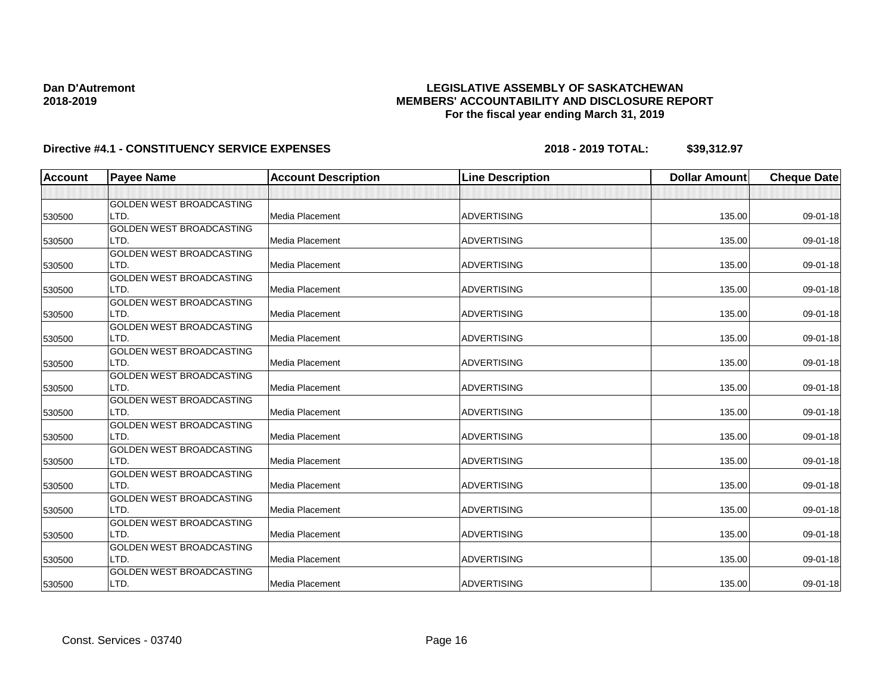## **LEGISLATIVE ASSEMBLY OF SASKATCHEWAN MEMBERS' ACCOUNTABILITY AND DISCLOSURE REPORT For the fiscal year ending March 31, 2019**

| <b>Account</b> | <b>Payee Name</b>               | <b>Account Description</b> | <b>Line Description</b> | <b>Dollar Amount</b> | <b>Cheque Date</b> |
|----------------|---------------------------------|----------------------------|-------------------------|----------------------|--------------------|
|                |                                 |                            |                         |                      |                    |
|                | <b>GOLDEN WEST BROADCASTING</b> |                            |                         |                      |                    |
| 530500         | LTD.                            | Media Placement            | <b>ADVERTISING</b>      | 135.00               | 09-01-18           |
|                | <b>GOLDEN WEST BROADCASTING</b> |                            |                         |                      |                    |
| 530500         | LTD.                            | Media Placement            | <b>ADVERTISING</b>      | 135.00               | 09-01-18           |
|                | <b>GOLDEN WEST BROADCASTING</b> |                            |                         |                      |                    |
| 530500         | LTD.                            | Media Placement            | <b>ADVERTISING</b>      | 135.00               | 09-01-18           |
|                | GOLDEN WEST BROADCASTING        |                            |                         |                      |                    |
| 530500         | LTD.                            | Media Placement            | <b>ADVERTISING</b>      | 135.00               | 09-01-18           |
|                | GOLDEN WEST BROADCASTING        |                            |                         |                      |                    |
| 530500         | LTD.                            | Media Placement            | <b>ADVERTISING</b>      | 135.00               | 09-01-18           |
|                | <b>GOLDEN WEST BROADCASTING</b> |                            |                         |                      |                    |
| 530500         | LTD.                            | Media Placement            | <b>ADVERTISING</b>      | 135.00               | 09-01-18           |
|                | <b>GOLDEN WEST BROADCASTING</b> |                            |                         |                      |                    |
| 530500         | LTD.                            | Media Placement            | <b>ADVERTISING</b>      | 135.00               | 09-01-18           |
|                | GOLDEN WEST BROADCASTING        |                            |                         |                      |                    |
| 530500         | LTD.                            | Media Placement            | <b>ADVERTISING</b>      | 135.00               | 09-01-18           |
|                | GOLDEN WEST BROADCASTING        |                            |                         |                      |                    |
| 530500         | LTD.                            | Media Placement            | <b>ADVERTISING</b>      | 135.00               | 09-01-18           |
|                | <b>GOLDEN WEST BROADCASTING</b> |                            |                         |                      |                    |
| 530500         | LTD.                            | Media Placement            | <b>ADVERTISING</b>      | 135.00               | 09-01-18           |
|                | GOLDEN WEST BROADCASTING        |                            |                         |                      |                    |
| 530500         | LTD.                            | Media Placement            | <b>ADVERTISING</b>      | 135.00               | 09-01-18           |
|                | <b>GOLDEN WEST BROADCASTING</b> |                            |                         |                      |                    |
| 530500         | LTD.                            | Media Placement            | <b>ADVERTISING</b>      | 135.00               | 09-01-18           |
|                | GOLDEN WEST BROADCASTING        |                            |                         |                      |                    |
| 530500         | LTD.                            | Media Placement            | <b>ADVERTISING</b>      | 135.00               | 09-01-18           |
|                | GOLDEN WEST BROADCASTING        |                            |                         |                      |                    |
| 530500         | LTD.                            | Media Placement            | <b>ADVERTISING</b>      | 135.00               | 09-01-18           |
|                | GOLDEN WEST BROADCASTING        |                            |                         |                      |                    |
| 530500         | LTD.                            | Media Placement            | <b>ADVERTISING</b>      | 135.00               | 09-01-18           |
|                | GOLDEN WEST BROADCASTING        |                            |                         |                      |                    |
| 530500         | LTD.                            | Media Placement            | <b>ADVERTISING</b>      | 135.00               | 09-01-18           |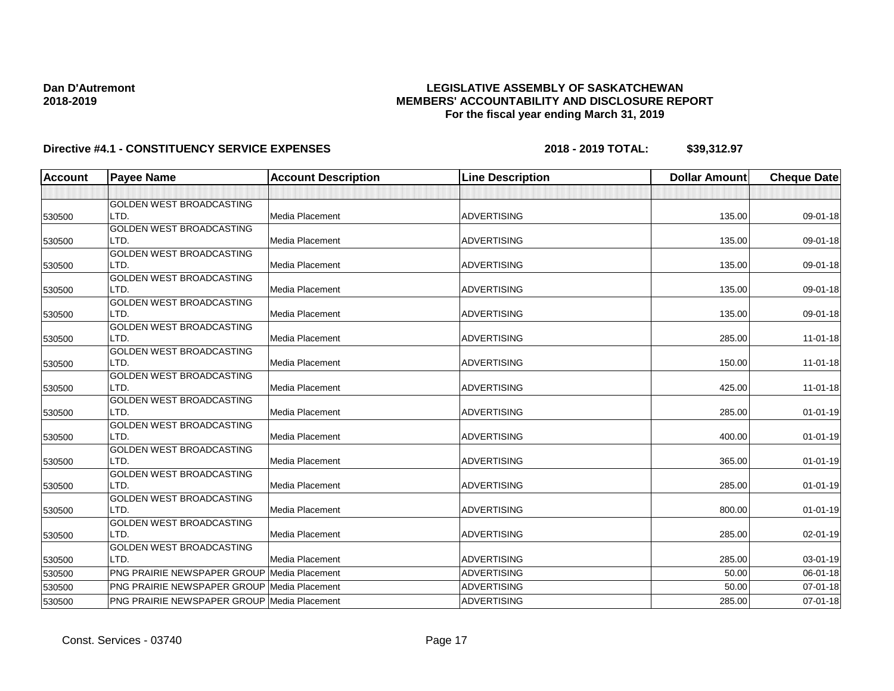## **LEGISLATIVE ASSEMBLY OF SASKATCHEWAN MEMBERS' ACCOUNTABILITY AND DISCLOSURE REPORT For the fiscal year ending March 31, 2019**

| <b>Account</b> | <b>Payee Name</b>                           | <b>Account Description</b> | <b>Line Description</b> | <b>Dollar Amount</b> | <b>Cheque Date</b> |
|----------------|---------------------------------------------|----------------------------|-------------------------|----------------------|--------------------|
|                |                                             |                            |                         |                      |                    |
|                | <b>GOLDEN WEST BROADCASTING</b>             |                            |                         |                      |                    |
| 530500         | LTD.                                        | Media Placement            | <b>ADVERTISING</b>      | 135.00               | 09-01-18           |
|                | GOLDEN WEST BROADCASTING                    |                            |                         |                      |                    |
| 530500         | LTD.                                        | Media Placement            | <b>ADVERTISING</b>      | 135.00               | 09-01-18           |
|                | <b>GOLDEN WEST BROADCASTING</b>             |                            |                         |                      |                    |
| 530500         | LTD.                                        | Media Placement            | <b>ADVERTISING</b>      | 135.00               | 09-01-18           |
|                | GOLDEN WEST BROADCASTING                    |                            |                         |                      |                    |
| 530500         | LTD.                                        | Media Placement            | <b>ADVERTISING</b>      | 135.00               | 09-01-18           |
|                | <b>GOLDEN WEST BROADCASTING</b>             |                            |                         |                      |                    |
| 530500         | LTD.                                        | <b>Media Placement</b>     | <b>ADVERTISING</b>      | 135.00               | 09-01-18           |
|                | GOLDEN WEST BROADCASTING                    |                            |                         |                      |                    |
| 530500         | LTD.                                        | Media Placement            | <b>ADVERTISING</b>      | 285.00               | $11-01-18$         |
|                | GOLDEN WEST BROADCASTING                    |                            |                         |                      |                    |
| 530500         | LTD.                                        | Media Placement            | <b>ADVERTISING</b>      | 150.00               | $11-01-18$         |
|                | <b>GOLDEN WEST BROADCASTING</b>             |                            |                         |                      |                    |
| 530500         | LTD.                                        | Media Placement            | <b>ADVERTISING</b>      | 425.00               | $11-01-18$         |
|                | GOLDEN WEST BROADCASTING                    |                            |                         |                      |                    |
| 530500         | LTD.                                        | Media Placement            | <b>ADVERTISING</b>      | 285.00               | $01 - 01 - 19$     |
|                | <b>GOLDEN WEST BROADCASTING</b>             |                            |                         |                      |                    |
| 530500         | LTD.                                        | Media Placement            | <b>ADVERTISING</b>      | 400.00               | $01 - 01 - 19$     |
|                | <b>GOLDEN WEST BROADCASTING</b>             |                            |                         |                      |                    |
| 530500         | LTD.                                        | Media Placement            | <b>ADVERTISING</b>      | 365.00               | $01 - 01 - 19$     |
|                | GOLDEN WEST BROADCASTING                    |                            |                         |                      |                    |
| 530500         | LTD.                                        | Media Placement            | <b>ADVERTISING</b>      | 285.00               | $01 - 01 - 19$     |
|                | GOLDEN WEST BROADCASTING                    |                            |                         |                      |                    |
| 530500         | LTD.                                        | Media Placement            | <b>ADVERTISING</b>      | 800.00               | $01 - 01 - 19$     |
|                | GOLDEN WEST BROADCASTING                    |                            |                         |                      |                    |
| 530500         | LTD.                                        | Media Placement            | <b>ADVERTISING</b>      | 285.00               | 02-01-19           |
|                | <b>GOLDEN WEST BROADCASTING</b>             |                            |                         |                      |                    |
| 530500         | LTD.                                        | Media Placement            | <b>ADVERTISING</b>      | 285.00               | 03-01-19           |
| 530500         | PNG PRAIRIE NEWSPAPER GROUP Media Placement |                            | <b>ADVERTISING</b>      | 50.00                | 06-01-18           |
| 530500         | PNG PRAIRIE NEWSPAPER GROUP                 | Media Placement            | <b>ADVERTISING</b>      | 50.00                | 07-01-18           |
| 530500         | PNG PRAIRIE NEWSPAPER GROUP Media Placement |                            | <b>ADVERTISING</b>      | 285.00               | 07-01-18           |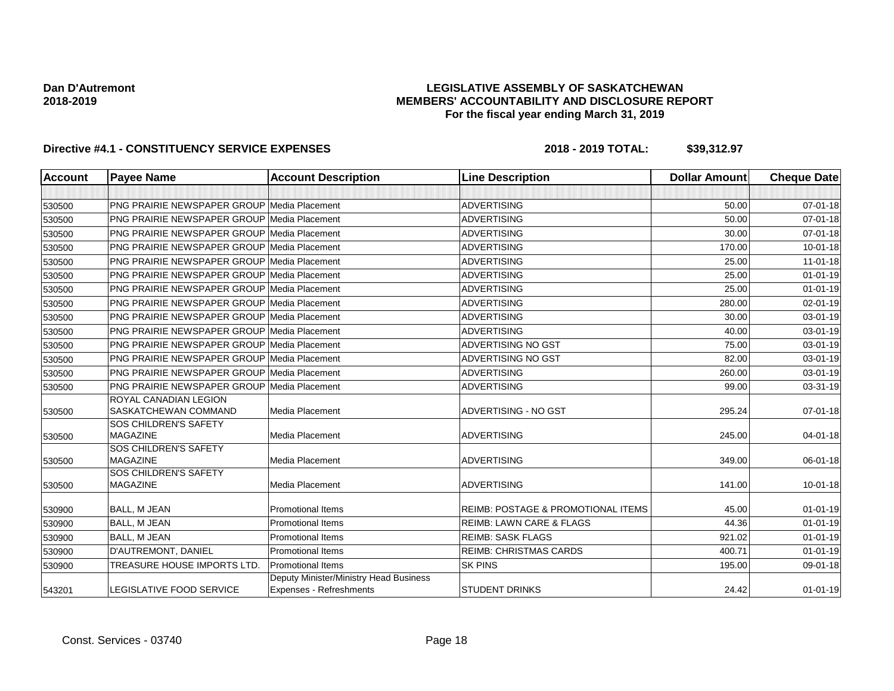## **LEGISLATIVE ASSEMBLY OF SASKATCHEWAN MEMBERS' ACCOUNTABILITY AND DISCLOSURE REPORT For the fiscal year ending March 31, 2019**

| <b>Account</b> | <b>Payee Name</b>                                    | <b>Account Description</b>                                        | <b>Line Description</b>                       | <b>Dollar Amount</b> | <b>Cheque Date</b> |
|----------------|------------------------------------------------------|-------------------------------------------------------------------|-----------------------------------------------|----------------------|--------------------|
|                |                                                      |                                                                   |                                               |                      |                    |
| 530500         | <b>PNG PRAIRIE NEWSPAPER GROUP Media Placement</b>   |                                                                   | <b>ADVERTISING</b>                            | 50.00                | $07 - 01 - 18$     |
| 530500         | <b>PNG PRAIRIE NEWSPAPER GROUP Media Placement</b>   |                                                                   | <b>ADVERTISING</b>                            | 50.00                | $07 - 01 - 18$     |
| 530500         | <b>PNG PRAIRIE NEWSPAPER GROUP Media Placement</b>   |                                                                   | <b>ADVERTISING</b>                            | 30.00                | 07-01-18           |
| 530500         | <b>PNG PRAIRIE NEWSPAPER GROUP Media Placement</b>   |                                                                   | <b>ADVERTISING</b>                            | 170.00               | $10 - 01 - 18$     |
| 530500         | <b>PNG PRAIRIE NEWSPAPER GROUP Media Placement</b>   |                                                                   | <b>ADVERTISING</b>                            | 25.00                | $11 - 01 - 18$     |
| 530500         | <b>PNG PRAIRIE NEWSPAPER GROUP Media Placement</b>   |                                                                   | <b>ADVERTISING</b>                            | 25.00                | $01 - 01 - 19$     |
| 530500         | <b>PNG PRAIRIE NEWSPAPER GROUP Media Placement</b>   |                                                                   | <b>ADVERTISING</b>                            | 25.00                | $01 - 01 - 19$     |
| 530500         | <b>PNG PRAIRIE NEWSPAPER GROUP Media Placement</b>   |                                                                   | <b>ADVERTISING</b>                            | 280.00               | 02-01-19           |
| 530500         | <b>PNG PRAIRIE NEWSPAPER GROUP Media Placement</b>   |                                                                   | <b>ADVERTISING</b>                            | 30.00                | 03-01-19           |
| 530500         | <b>PNG PRAIRIE NEWSPAPER GROUP Media Placement</b>   |                                                                   | <b>ADVERTISING</b>                            | 40.00                | 03-01-19           |
| 530500         | <b>PNG PRAIRIE NEWSPAPER GROUP Media Placement</b>   |                                                                   | <b>ADVERTISING NO GST</b>                     | 75.00                | 03-01-19           |
| 530500         | <b>PNG PRAIRIE NEWSPAPER GROUP Media Placement</b>   |                                                                   | <b>ADVERTISING NO GST</b>                     | 82.00                | 03-01-19           |
| 530500         | <b>PNG PRAIRIE NEWSPAPER GROUP Media Placement</b>   |                                                                   | <b>ADVERTISING</b>                            | 260.00               | 03-01-19           |
| 530500         | <b>PNG PRAIRIE NEWSPAPER GROUP Media Placement</b>   |                                                                   | <b>ADVERTISING</b>                            | 99.00                | 03-31-19           |
| 530500         | <b>ROYAL CANADIAN LEGION</b><br>SASKATCHEWAN COMMAND | Media Placement                                                   | <b>ADVERTISING - NO GST</b>                   | 295.24               | 07-01-18           |
| 530500         | SOS CHILDREN'S SAFETY<br><b>MAGAZINE</b>             | <b>Media Placement</b>                                            | <b>ADVERTISING</b>                            | 245.00               | $04 - 01 - 18$     |
| 530500         | SOS CHILDREN'S SAFETY<br><b>MAGAZINE</b>             | <b>Media Placement</b>                                            | <b>ADVERTISING</b>                            | 349.00               | 06-01-18           |
| 530500         | <b>SOS CHILDREN'S SAFETY</b><br><b>MAGAZINE</b>      | <b>Media Placement</b>                                            | <b>ADVERTISING</b>                            | 141.00               | $10 - 01 - 18$     |
| 530900         | <b>BALL, M JEAN</b>                                  | <b>Promotional Items</b>                                          | <b>REIMB: POSTAGE &amp; PROMOTIONAL ITEMS</b> | 45.00                | $01 - 01 - 19$     |
| 530900         | <b>BALL. M JEAN</b>                                  | <b>Promotional Items</b>                                          | <b>REIMB: LAWN CARE &amp; FLAGS</b>           | 44.36                | $01 - 01 - 19$     |
| 530900         | <b>BALL, M JEAN</b>                                  | <b>Promotional Items</b>                                          | <b>REIMB: SASK FLAGS</b>                      | 921.02               | $01 - 01 - 19$     |
| 530900         | D'AUTREMONT, DANIEL                                  | <b>Promotional Items</b>                                          | <b>REIMB: CHRISTMAS CARDS</b>                 | 400.71               | $01 - 01 - 19$     |
| 530900         | <b>TREASURE HOUSE IMPORTS LTD.</b>                   | <b>Promotional Items</b>                                          | <b>SK PINS</b>                                | 195.00               | 09-01-18           |
| 543201         | LEGISLATIVE FOOD SERVICE                             | Deputy Minister/Ministry Head Business<br>Expenses - Refreshments | <b>STUDENT DRINKS</b>                         | 24.42                | $01 - 01 - 19$     |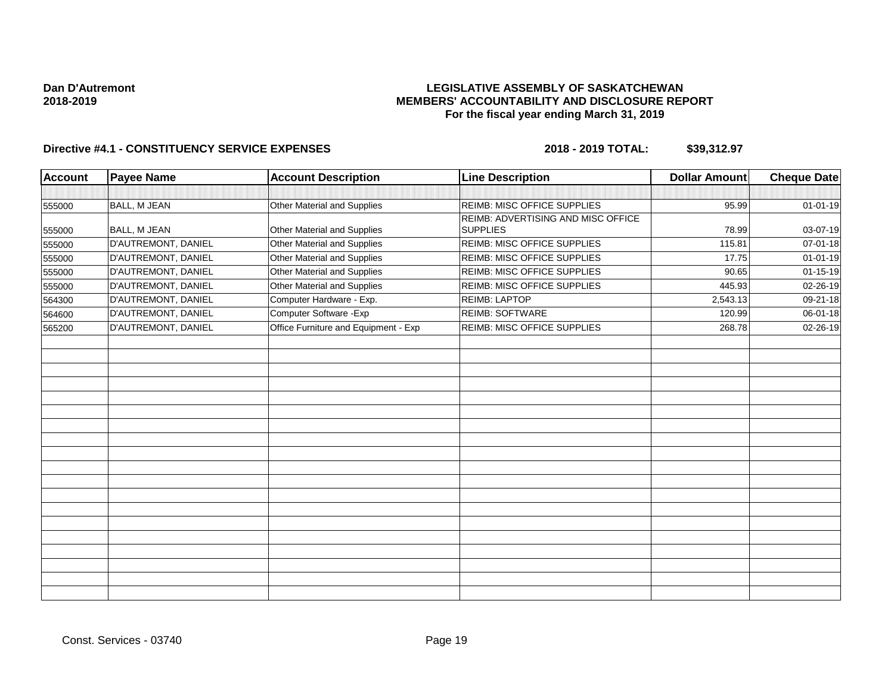## **LEGISLATIVE ASSEMBLY OF SASKATCHEWAN MEMBERS' ACCOUNTABILITY AND DISCLOSURE REPORT For the fiscal year ending March 31, 2019**

| <b>Account</b> | <b>Payee Name</b>   | <b>Account Description</b>           | <b>Line Description</b>            | <b>Dollar Amount</b> | <b>Cheque Date</b> |
|----------------|---------------------|--------------------------------------|------------------------------------|----------------------|--------------------|
|                |                     |                                      |                                    |                      |                    |
| 555000         | BALL, M JEAN        | Other Material and Supplies          | REIMB: MISC OFFICE SUPPLIES        | 95.99                | 01-01-19           |
|                |                     |                                      | REIMB: ADVERTISING AND MISC OFFICE |                      |                    |
| 555000         | <b>BALL, M JEAN</b> | Other Material and Supplies          | <b>SUPPLIES</b>                    | 78.99                | 03-07-19           |
| 555000         | D'AUTREMONT, DANIEL | Other Material and Supplies          | REIMB: MISC OFFICE SUPPLIES        | 115.81               | 07-01-18           |
| 555000         | D'AUTREMONT, DANIEL | Other Material and Supplies          | <b>REIMB: MISC OFFICE SUPPLIES</b> | 17.75                | $01 - 01 - 19$     |
| 555000         | D'AUTREMONT, DANIEL | Other Material and Supplies          | REIMB: MISC OFFICE SUPPLIES        | 90.65                | $01 - 15 - 19$     |
| 555000         | D'AUTREMONT, DANIEL | Other Material and Supplies          | REIMB: MISC OFFICE SUPPLIES        | 445.93               | 02-26-19           |
| 564300         | D'AUTREMONT, DANIEL | Computer Hardware - Exp.             | <b>REIMB: LAPTOP</b>               | 2,543.13             | 09-21-18           |
| 564600         | D'AUTREMONT, DANIEL | Computer Software - Exp              | REIMB: SOFTWARE                    | 120.99               | 06-01-18           |
| 565200         | D'AUTREMONT, DANIEL | Office Furniture and Equipment - Exp | REIMB: MISC OFFICE SUPPLIES        | 268.78               | 02-26-19           |
|                |                     |                                      |                                    |                      |                    |
|                |                     |                                      |                                    |                      |                    |
|                |                     |                                      |                                    |                      |                    |
|                |                     |                                      |                                    |                      |                    |
|                |                     |                                      |                                    |                      |                    |
|                |                     |                                      |                                    |                      |                    |
|                |                     |                                      |                                    |                      |                    |
|                |                     |                                      |                                    |                      |                    |
|                |                     |                                      |                                    |                      |                    |
|                |                     |                                      |                                    |                      |                    |
|                |                     |                                      |                                    |                      |                    |
|                |                     |                                      |                                    |                      |                    |
|                |                     |                                      |                                    |                      |                    |
|                |                     |                                      |                                    |                      |                    |
|                |                     |                                      |                                    |                      |                    |
|                |                     |                                      |                                    |                      |                    |
|                |                     |                                      |                                    |                      |                    |
|                |                     |                                      |                                    |                      |                    |
|                |                     |                                      |                                    |                      |                    |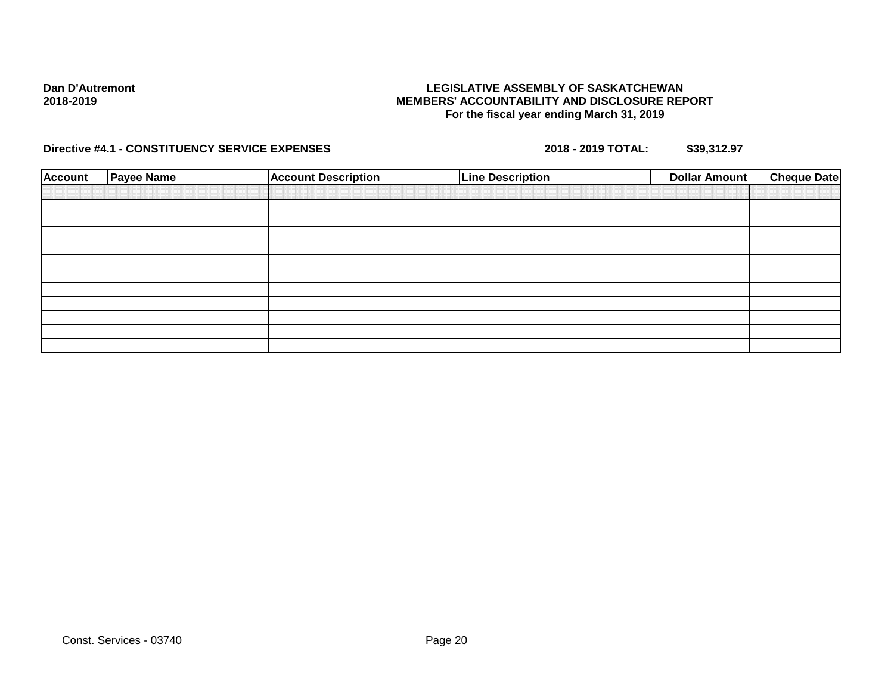## **LEGISLATIVE ASSEMBLY OF SASKATCHEWAN MEMBERS' ACCOUNTABILITY AND DISCLOSURE REPORT For the fiscal year ending March 31, 2019**

| <b>Account</b> | <b>Payee Name</b> | <b>Account Description</b> | <b>Line Description</b> | Dollar Amount | <b>Cheque Date</b> |
|----------------|-------------------|----------------------------|-------------------------|---------------|--------------------|
|                |                   |                            |                         |               |                    |
|                |                   |                            |                         |               |                    |
|                |                   |                            |                         |               |                    |
|                |                   |                            |                         |               |                    |
|                |                   |                            |                         |               |                    |
|                |                   |                            |                         |               |                    |
|                |                   |                            |                         |               |                    |
|                |                   |                            |                         |               |                    |
|                |                   |                            |                         |               |                    |
|                |                   |                            |                         |               |                    |
|                |                   |                            |                         |               |                    |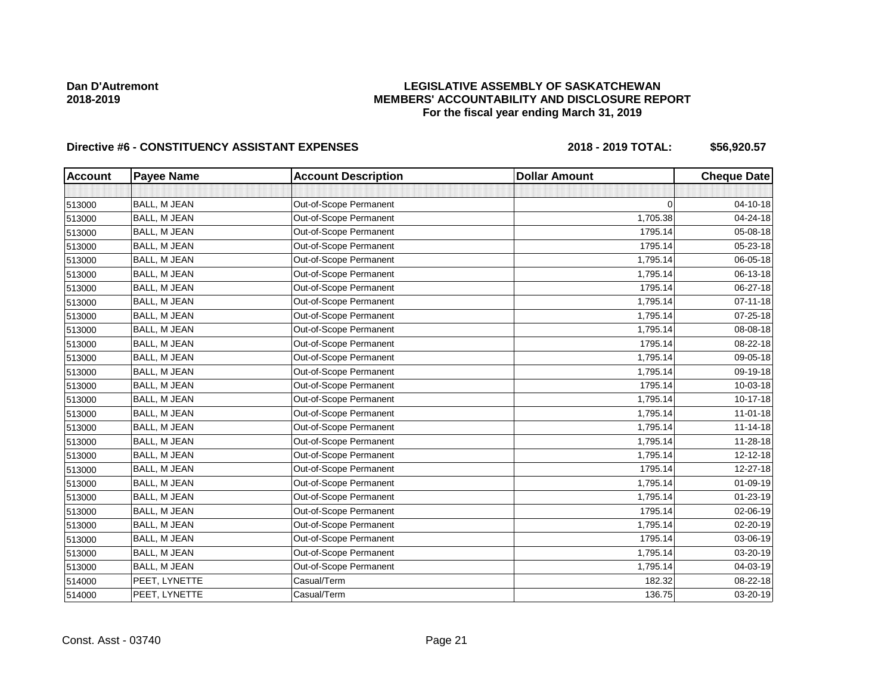# **LEGISLATIVE ASSEMBLY OF SASKATCHEWAN MEMBERS' ACCOUNTABILITY AND DISCLOSURE REPORT For the fiscal year ending March 31, 2019**

| <b>Account</b> | <b>Payee Name</b>   | <b>Account Description</b> | <b>Dollar Amount</b> | <b>Cheque Date</b> |
|----------------|---------------------|----------------------------|----------------------|--------------------|
|                |                     |                            |                      |                    |
| 513000         | BALL, M JEAN        | Out-of-Scope Permanent     | $\Omega$             | 04-10-18           |
| 513000         | BALL, M JEAN        | Out-of-Scope Permanent     | 1,705.38             | 04-24-18           |
| 513000         | BALL, M JEAN        | Out-of-Scope Permanent     | 1795.14              | 05-08-18           |
| 513000         | <b>BALL, M JEAN</b> | Out-of-Scope Permanent     | 1795.14              | 05-23-18           |
| 513000         | BALL, M JEAN        | Out-of-Scope Permanent     | 1,795.14             | 06-05-18           |
| 513000         | BALL, M JEAN        | Out-of-Scope Permanent     | 1,795.14             | 06-13-18           |
| 513000         | BALL, M JEAN        | Out-of-Scope Permanent     | 1795.14              | 06-27-18           |
| 513000         | BALL, M JEAN        | Out-of-Scope Permanent     | 1,795.14             | $07 - 11 - 18$     |
| 513000         | BALL, M JEAN        | Out-of-Scope Permanent     | 1,795.14             | 07-25-18           |
| 513000         | BALL, M JEAN        | Out-of-Scope Permanent     | 1,795.14             | 08-08-18           |
| 513000         | <b>BALL, M JEAN</b> | Out-of-Scope Permanent     | 1795.14              | 08-22-18           |
| 513000         | BALL, M JEAN        | Out-of-Scope Permanent     | 1,795.14             | 09-05-18           |
| 513000         | BALL, M JEAN        | Out-of-Scope Permanent     | 1,795.14             | 09-19-18           |
| 513000         | BALL, M JEAN        | Out-of-Scope Permanent     | 1795.14              | 10-03-18           |
| 513000         | <b>BALL, M JEAN</b> | Out-of-Scope Permanent     | 1,795.14             | 10-17-18           |
| 513000         | <b>BALL, M JEAN</b> | Out-of-Scope Permanent     | 1,795.14             | $11 - 01 - 18$     |
| 513000         | BALL, M JEAN        | Out-of-Scope Permanent     | 1,795.14             | $11 - 14 - 18$     |
| 513000         | <b>BALL, M JEAN</b> | Out-of-Scope Permanent     | 1,795.14             | 11-28-18           |
| 513000         | BALL, M JEAN        | Out-of-Scope Permanent     | 1,795.14             | 12-12-18           |
| 513000         | BALL, M JEAN        | Out-of-Scope Permanent     | 1795.14              | 12-27-18           |
| 513000         | BALL, M JEAN        | Out-of-Scope Permanent     | 1,795.14             | 01-09-19           |
| 513000         | BALL, M JEAN        | Out-of-Scope Permanent     | 1,795.14             | $01 - 23 - 19$     |
| 513000         | BALL, M JEAN        | Out-of-Scope Permanent     | 1795.14              | 02-06-19           |
| 513000         | BALL, M JEAN        | Out-of-Scope Permanent     | 1,795.14             | 02-20-19           |
| 513000         | BALL, M JEAN        | Out-of-Scope Permanent     | 1795.14              | 03-06-19           |
| 513000         | BALL, M JEAN        | Out-of-Scope Permanent     | 1,795.14             | 03-20-19           |
| 513000         | BALL, M JEAN        | Out-of-Scope Permanent     | 1,795.14             | 04-03-19           |
| 514000         | PEET, LYNETTE       | Casual/Term                | 182.32               | 08-22-18           |
| 514000         | PEET, LYNETTE       | Casual/Term                | 136.75               | 03-20-19           |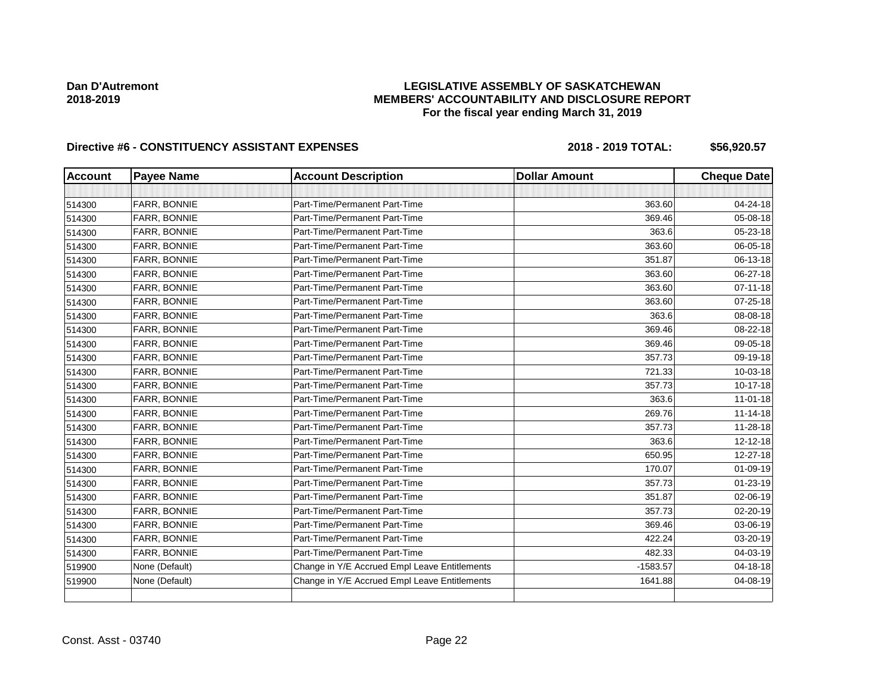# **LEGISLATIVE ASSEMBLY OF SASKATCHEWAN MEMBERS' ACCOUNTABILITY AND DISCLOSURE REPORT For the fiscal year ending March 31, 2019**

| <b>Account</b> | <b>Payee Name</b> | <b>Account Description</b>                    | <b>Dollar Amount</b> | <b>Cheque Date</b> |
|----------------|-------------------|-----------------------------------------------|----------------------|--------------------|
|                |                   |                                               |                      |                    |
| 514300         | FARR, BONNIE      | Part-Time/Permanent Part-Time                 | 363.60               | 04-24-18           |
| 514300         | FARR, BONNIE      | Part-Time/Permanent Part-Time                 | 369.46               | 05-08-18           |
| 514300         | FARR, BONNIE      | Part-Time/Permanent Part-Time                 | 363.6                | 05-23-18           |
| 514300         | FARR, BONNIE      | Part-Time/Permanent Part-Time                 | 363.60               | 06-05-18           |
| 514300         | FARR, BONNIE      | Part-Time/Permanent Part-Time                 | 351.87               | 06-13-18           |
| 514300         | FARR, BONNIE      | Part-Time/Permanent Part-Time                 | 363.60               | 06-27-18           |
| 514300         | FARR, BONNIE      | Part-Time/Permanent Part-Time                 | 363.60               | $07 - 11 - 18$     |
| 514300         | FARR, BONNIE      | Part-Time/Permanent Part-Time                 | 363.60               | 07-25-18           |
| 514300         | FARR, BONNIE      | Part-Time/Permanent Part-Time                 | 363.6                | 08-08-18           |
| 514300         | FARR, BONNIE      | Part-Time/Permanent Part-Time                 | 369.46               | 08-22-18           |
| 514300         | FARR, BONNIE      | Part-Time/Permanent Part-Time                 | 369.46               | 09-05-18           |
| 514300         | FARR, BONNIE      | Part-Time/Permanent Part-Time                 | 357.73               | 09-19-18           |
| 514300         | FARR, BONNIE      | Part-Time/Permanent Part-Time                 | 721.33               | 10-03-18           |
| 514300         | FARR, BONNIE      | Part-Time/Permanent Part-Time                 | 357.73               | 10-17-18           |
| 514300         | FARR, BONNIE      | Part-Time/Permanent Part-Time                 | 363.6                | $11-01-18$         |
| 514300         | FARR, BONNIE      | Part-Time/Permanent Part-Time                 | 269.76               | $11 - 14 - 18$     |
| 514300         | FARR, BONNIE      | Part-Time/Permanent Part-Time                 | 357.73               | 11-28-18           |
| 514300         | FARR, BONNIE      | Part-Time/Permanent Part-Time                 | 363.6                | 12-12-18           |
| 514300         | FARR, BONNIE      | Part-Time/Permanent Part-Time                 | 650.95               | 12-27-18           |
| 514300         | FARR, BONNIE      | Part-Time/Permanent Part-Time                 | 170.07               | 01-09-19           |
| 514300         | FARR, BONNIE      | Part-Time/Permanent Part-Time                 | 357.73               | $01 - 23 - 19$     |
| 514300         | FARR, BONNIE      | Part-Time/Permanent Part-Time                 | 351.87               | 02-06-19           |
| 514300         | FARR, BONNIE      | Part-Time/Permanent Part-Time                 | 357.73               | 02-20-19           |
| 514300         | FARR, BONNIE      | Part-Time/Permanent Part-Time                 | 369.46               | 03-06-19           |
| 514300         | FARR, BONNIE      | Part-Time/Permanent Part-Time                 | 422.24               | 03-20-19           |
| 514300         | FARR, BONNIE      | Part-Time/Permanent Part-Time                 | 482.33               | 04-03-19           |
| 519900         | None (Default)    | Change in Y/E Accrued Empl Leave Entitlements | $-1583.57$           | 04-18-18           |
| 519900         | None (Default)    | Change in Y/E Accrued Empl Leave Entitlements | 1641.88              | 04-08-19           |
|                |                   |                                               |                      |                    |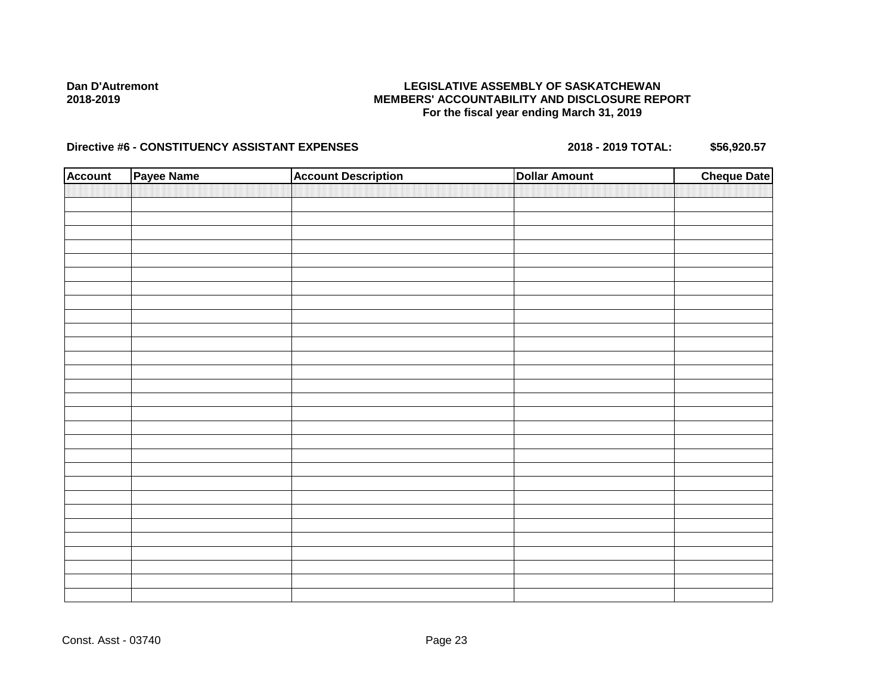# **LEGISLATIVE ASSEMBLY OF SASKATCHEWAN MEMBERS' ACCOUNTABILITY AND DISCLOSURE REPORT For the fiscal year ending March 31, 2019**

| <b>Account</b> | Payee Name | <b>Account Description</b> | <b>Dollar Amount</b> | <b>Cheque Date</b> |
|----------------|------------|----------------------------|----------------------|--------------------|
|                |            |                            |                      |                    |
|                |            |                            |                      |                    |
|                |            |                            |                      |                    |
|                |            |                            |                      |                    |
|                |            |                            |                      |                    |
|                |            |                            |                      |                    |
|                |            |                            |                      |                    |
|                |            |                            |                      |                    |
|                |            |                            |                      |                    |
|                |            |                            |                      |                    |
|                |            |                            |                      |                    |
|                |            |                            |                      |                    |
|                |            |                            |                      |                    |
|                |            |                            |                      |                    |
|                |            |                            |                      |                    |
|                |            |                            |                      |                    |
|                |            |                            |                      |                    |
|                |            |                            |                      |                    |
|                |            |                            |                      |                    |
|                |            |                            |                      |                    |
|                |            |                            |                      |                    |
|                |            |                            |                      |                    |
|                |            |                            |                      |                    |
|                |            |                            |                      |                    |
|                |            |                            |                      |                    |
|                |            |                            |                      |                    |
|                |            |                            |                      |                    |
|                |            |                            |                      |                    |
|                |            |                            |                      |                    |